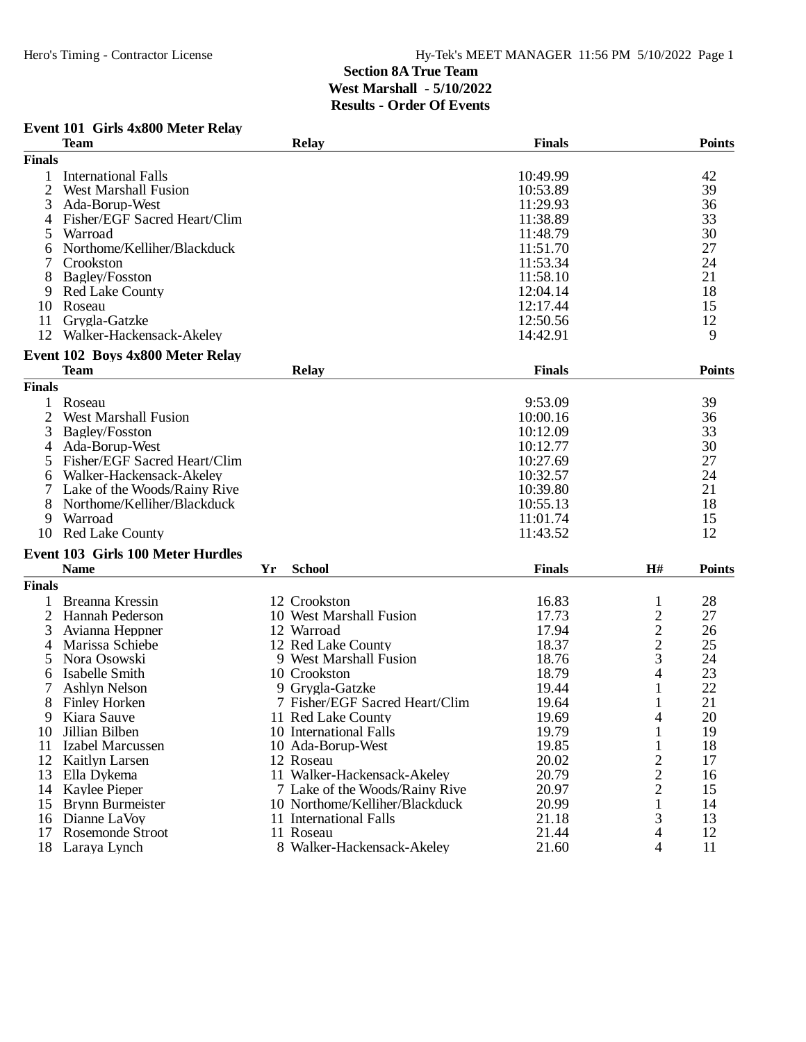### **Event 101 Girls 4x800 Meter Relay**

|                | <b>Team</b>                              |    | <b>Relay</b>                   | <b>Finals</b> |                          | <b>Points</b> |
|----------------|------------------------------------------|----|--------------------------------|---------------|--------------------------|---------------|
| <b>Finals</b>  |                                          |    |                                |               |                          |               |
| 1              | <b>International Falls</b>               |    |                                | 10:49.99      |                          | 42            |
| $\overline{2}$ | <b>West Marshall Fusion</b>              |    |                                | 10:53.89      |                          | 39            |
| 3              | Ada-Borup-West                           |    |                                | 11:29.93      |                          | 36            |
| 4              | Fisher/EGF Sacred Heart/Clim             |    |                                | 11:38.89      |                          | 33            |
| 5              | Warroad                                  |    |                                | 11:48.79      |                          | 30            |
| 6              | Northome/Kelliher/Blackduck              |    |                                | 11:51.70      |                          | 27            |
|                | Crookston                                |    |                                | 11:53.34      |                          | 24            |
| 8              |                                          |    |                                | 11:58.10      |                          | 21            |
|                | Bagley/Fosston                           |    |                                |               |                          | 18            |
| 9              | <b>Red Lake County</b>                   |    |                                | 12:04.14      |                          |               |
| 10             | Roseau                                   |    |                                | 12:17.44      |                          | 15            |
| 11             | Grygla-Gatzke                            |    |                                | 12:50.56      |                          | 12            |
| 12             | Walker-Hackensack-Akeley                 |    |                                | 14:42.91      |                          | 9             |
|                | Event 102 Boys 4x800 Meter Relay         |    |                                |               |                          |               |
|                | <b>Team</b>                              |    | <b>Relay</b>                   | <b>Finals</b> |                          | <b>Points</b> |
| <b>Finals</b>  |                                          |    |                                |               |                          |               |
| 1              | Roseau                                   |    |                                | 9:53.09       |                          | 39            |
| 2              | <b>West Marshall Fusion</b>              |    |                                | 10:00.16      |                          | 36            |
| 3              | Bagley/Fosston                           |    |                                | 10:12.09      |                          | 33            |
| 4              | Ada-Borup-West                           |    |                                | 10:12.77      |                          | 30            |
| 5              | Fisher/EGF Sacred Heart/Clim             |    |                                | 10:27.69      |                          | 27            |
| 6              | Walker-Hackensack-Akeley                 |    |                                | 10:32.57      |                          | 24            |
| 7              | Lake of the Woods/Rainy Rive             |    |                                | 10:39.80      |                          | 21            |
| 8              | Northome/Kelliher/Blackduck              |    |                                | 10:55.13      |                          | 18            |
| 9              | Warroad                                  |    |                                | 11:01.74      |                          | 15            |
|                | <b>Red Lake County</b>                   |    |                                | 11:43.52      |                          | 12            |
| 10             |                                          |    |                                |               |                          |               |
|                | <b>Event 103 Girls 100 Meter Hurdles</b> |    |                                |               |                          |               |
|                | <b>Name</b>                              | Yr | <b>School</b>                  | <b>Finals</b> | H#                       | <b>Points</b> |
| <b>Finals</b>  |                                          |    |                                |               |                          |               |
| 1              | Breanna Kressin                          |    | 12 Crookston                   | 16.83         | 1                        | 28            |
| $\overline{2}$ | <b>Hannah Pederson</b>                   |    | 10 West Marshall Fusion        | 17.73         |                          | 27            |
| 3              | Avianna Heppner                          |    | 12 Warroad                     | 17.94         | $\frac{2}{2}$            | 26            |
| 4              | Marissa Schiebe                          |    | 12 Red Lake County             | 18.37         |                          | 25            |
| 5              | Nora Osowski                             |    | 9 West Marshall Fusion         | 18.76         | 3                        | 24            |
| 6              | Isabelle Smith                           |    | 10 Crookston                   | 18.79         | 4                        | 23            |
| 7              | Ashlyn Nelson                            |    | 9 Grygla-Gatzke                | 19.44         | 1                        | 22            |
| 8              | <b>Finley Horken</b>                     |    | 7 Fisher/EGF Sacred Heart/Clim | 19.64         |                          | 21            |
| 9              | Kiara Sauve                              |    | 11 Red Lake County             | 19.69         | 4                        | 20            |
| 10             | Jillian Bilben                           |    | 10 International Falls         | 19.79         | 1                        | 19            |
| 11             | Izabel Marcussen                         |    | 10 Ada-Borup-West              | 19.85         | $\mathbf{1}$             | 18            |
| 12             | <b>Kaitlyn Larsen</b>                    |    | 12 Roseau                      | 20.02         | $\overline{\mathbf{c}}$  | 17            |
| 13             | Ella Dykema                              |    | 11 Walker-Hackensack-Akeley    | 20.79         | $\overline{c}$           | 16            |
|                | 14 Kaylee Pieper                         |    | 7 Lake of the Woods/Rainy Rive | 20.97         | $\overline{c}$           | 15            |
| 15             | Brynn Burmeister                         |    | 10 Northome/Kelliher/Blackduck | 20.99         | 1                        | 14            |
| 16             | Dianne LaVoy                             |    | 11 International Falls         | 21.18         | 3                        | 13            |
| 17             | Rosemonde Stroot                         |    | 11 Roseau                      | 21.44         | $\overline{\mathcal{A}}$ | 12            |
| 18             | Laraya Lynch                             |    | 8 Walker-Hackensack-Akeley     | 21.60         | 4                        | 11            |
|                |                                          |    |                                |               |                          |               |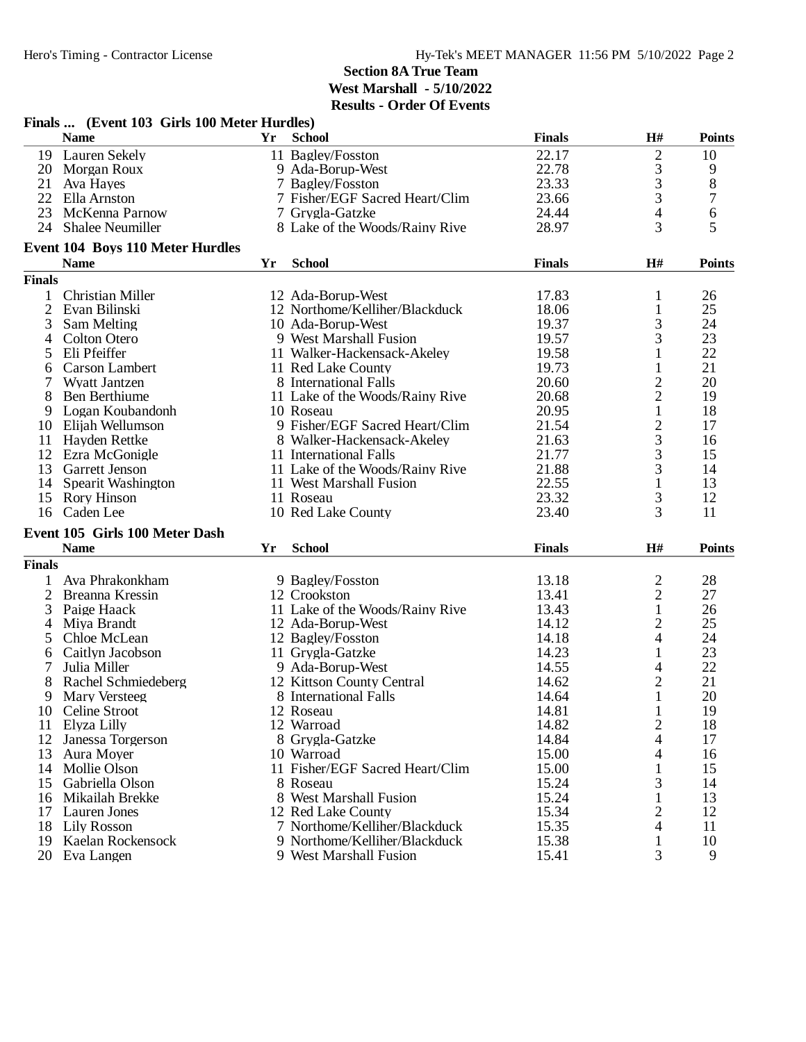|                | Finals  (Event 103 Girls 100 Meter Hurdles) |    |                                 |               |                |               |
|----------------|---------------------------------------------|----|---------------------------------|---------------|----------------|---------------|
|                | <b>Name</b>                                 | Yr | <b>School</b>                   | <b>Finals</b> | H#             | <b>Points</b> |
| 19             | <b>Lauren Sekely</b>                        |    | 11 Bagley/Fosston               | 22.17         |                | 10            |
|                | 20 Morgan Roux                              |    | 9 Ada-Borup-West                | 22.78         | $\frac{2}{3}$  | 9             |
| 21             | Ava Hayes                                   |    | 7 Bagley/Fosston                | 23.33         |                | 8             |
| 22             | Ella Arnston                                |    | 7 Fisher/EGF Sacred Heart/Clim  | 23.66         | 3              | 7             |
| 23             | McKenna Parnow                              |    | 7 Grygla-Gatzke                 | 24.44         | 4              | 6             |
|                | 24 Shalee Neumiller                         |    | 8 Lake of the Woods/Rainy Rive  | 28.97         | 3              | 5             |
|                | <b>Event 104 Boys 110 Meter Hurdles</b>     |    |                                 |               |                |               |
|                | <b>Name</b>                                 | Yr | <b>School</b>                   | <b>Finals</b> | H#             | <b>Points</b> |
| <b>Finals</b>  |                                             |    |                                 |               |                |               |
|                | Christian Miller                            |    | 12 Ada-Borup-West               | 17.83         | 1              | 26            |
| $\overline{2}$ | Evan Bilinski                               |    | 12 Northome/Kelliher/Blackduck  | 18.06         | $\mathbf{1}$   | 25            |
| 3              | Sam Melting                                 |    | 10 Ada-Borup-West               | 19.37         | 3              | 24            |
| 4              | Colton Otero                                |    | 9 West Marshall Fusion          | 19.57         | 3              | 23            |
| 5              | Eli Pfeiffer                                |    | 11 Walker-Hackensack-Akeley     | 19.58         | 1              | 22            |
| 6              | Carson Lambert                              |    | 11 Red Lake County              | 19.73         | 1              | 21            |
| 7              | <b>Wyatt Jantzen</b>                        |    | 8 International Falls           | 20.60         |                | 20            |
| 8              | Ben Berthiume                               |    | 11 Lake of the Woods/Rainy Rive | 20.68         | $\frac{2}{2}$  | 19            |
| 9              | Logan Koubandonh                            |    | 10 Roseau                       | 20.95         | $\mathbf{1}$   | 18            |
| 10             | Elijah Wellumson                            |    | 9 Fisher/EGF Sacred Heart/Clim  | 21.54         |                | 17            |
| 11             |                                             |    | 8 Walker-Hackensack-Akeley      | 21.63         | $\frac{2}{3}$  | 16            |
| 12             | Hayden Rettke                               |    | 11 International Falls          | 21.77         | 3              | 15            |
|                | Ezra McGonigle                              |    |                                 |               |                |               |
| 13             | <b>Garrett Jenson</b>                       |    | 11 Lake of the Woods/Rainy Rive | 21.88         | 3              | 14            |
| 14             | Spearit Washington                          |    | 11 West Marshall Fusion         | 22.55         | $\mathbf{1}$   | 13            |
| 15             | <b>Rory Hinson</b>                          |    | 11 Roseau                       | 23.32         | 3              | 12            |
| 16             | Caden Lee                                   |    | 10 Red Lake County              | 23.40         | 3              | 11            |
|                | Event 105 Girls 100 Meter Dash              |    |                                 |               |                |               |
|                | <b>Name</b>                                 | Yr | <b>School</b>                   | <b>Finals</b> | H#             | <b>Points</b> |
| <b>Finals</b>  |                                             |    |                                 |               |                |               |
|                | Ava Phrakonkham                             |    | 9 Bagley/Fosston                | 13.18         | $\frac{2}{2}$  | 28            |
| $\overline{2}$ | Breanna Kressin                             |    | 12 Crookston                    | 13.41         |                | 27            |
| 3              | Paige Haack                                 |    | 11 Lake of the Woods/Rainy Rive | 13.43         | $\,1$          | 26            |
| 4              | Miya Brandt                                 |    | 12 Ada-Borup-West               | 14.12         | 2              | 25            |
| 5              | Chloe McLean                                |    | 12 Bagley/Fosston               | 14.18         | 4              | 24            |
| 6              | Caitlyn Jacobson                            |    | 11 Grygla-Gatzke                | 14.23         | 1              | 23            |
| 7              | Julia Miller                                |    | 9 Ada-Borup-West                | 14.55         | 4              | 22            |
| 8              | Rachel Schmiedeberg                         |    | 12 Kittson County Central       | 14.62         | $\overline{c}$ | 21            |
| 9              | Mary Versteeg                               |    | 8 International Falls           | 14.64         | $\mathbf{1}$   | 20            |
| 10             | Celine Stroot                               |    | 12 Roseau                       | 14.81         | 1              | 19            |
| 11             | Elyza Lilly                                 |    | 12 Warroad                      | 14.82         | $\overline{2}$ | 18            |
| 12             | Janessa Torgerson                           |    | 8 Grygla-Gatzke                 | 14.84         | 4              | 17            |
| 13             | Aura Moyer                                  |    | 10 Warroad                      | 15.00         | 4              | 16            |
| 14             | Mollie Olson                                |    | 11 Fisher/EGF Sacred Heart/Clim | 15.00         | 1              | 15            |
| 15             | Gabriella Olson                             |    | 8 Roseau                        | 15.24         | 3              | 14            |
| 16             | Mikailah Brekke                             |    | 8 West Marshall Fusion          | 15.24         | 1              | 13            |
| 17             | Lauren Jones                                |    | 12 Red Lake County              | 15.34         | 2              | 12            |
| 18             | Lily Rosson                                 |    | 7 Northome/Kelliher/Blackduck   | 15.35         | 4              | 11            |
| 19             | Kaelan Rockensock                           |    | 9 Northome/Kelliher/Blackduck   | 15.38         | 1              | 10            |
| 20             | Eva Langen                                  |    | 9 West Marshall Fusion          | 15.41         | 3              | 9             |
|                |                                             |    |                                 |               |                |               |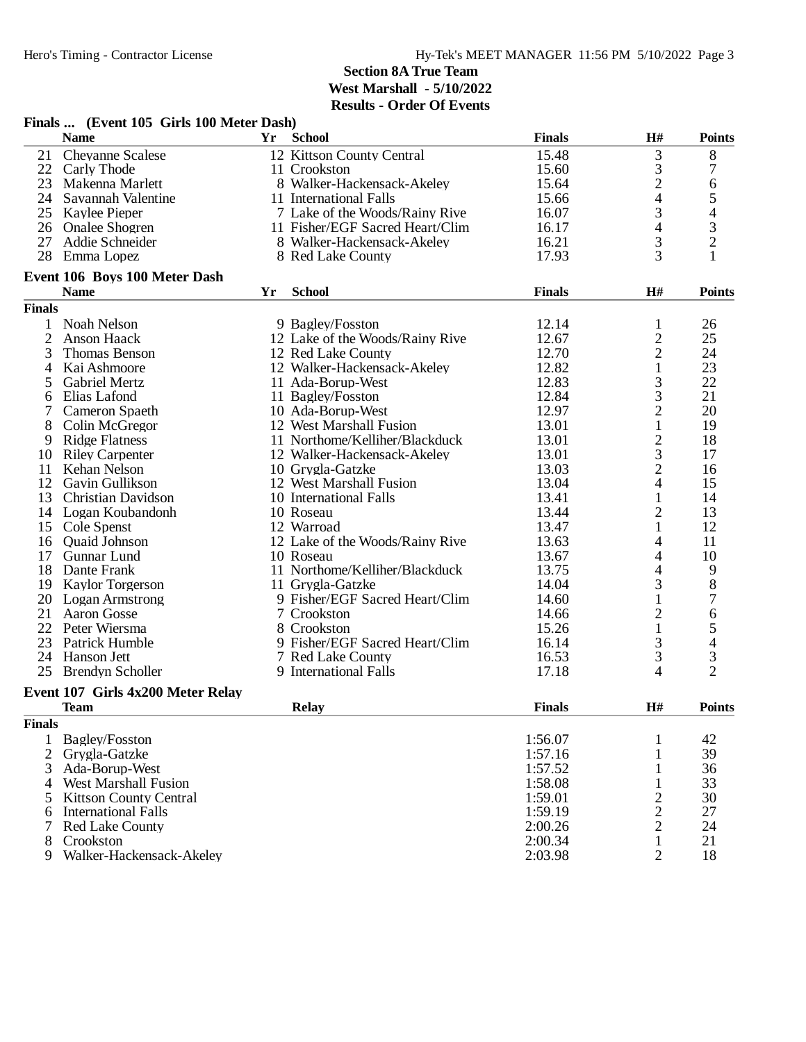| <b>School</b><br><b>Finals</b><br>H#<br><b>Name</b><br>Yr<br><b>Points</b><br>3<br>21<br><b>Chevanne Scalese</b><br>12 Kittson County Central<br>15.48<br>8<br>$\frac{3}{2}$<br>7<br>22<br>Carly Thode<br>11 Crookston<br>15.60<br>23<br>Makenna Marlett<br>8 Walker-Hackensack-Akeley<br>15.64<br>6<br>$\overline{\mathcal{A}}$<br>$\mathfrak s$<br>24 Savannah Valentine<br>11 International Falls<br>15.66<br>3<br>4<br>25 Kaylee Pieper<br>7 Lake of the Woods/Rainy Rive<br>16.07<br>4<br>3<br>26 Onalee Shogren<br>11 Fisher/EGF Sacred Heart/Clim<br>16.17<br>$\overline{2}$<br>3<br>27<br>Addie Schneider<br>8 Walker-Hackensack-Akeley<br>16.21<br>$\overline{3}$<br>1<br>28<br>17.93<br>Emma Lopez<br>8 Red Lake County<br>Event 106 Boys 100 Meter Dash<br>H#<br><b>School</b><br><b>Finals</b><br><b>Points</b><br><b>Name</b><br>Yr<br><b>Finals</b><br>12.14<br>26<br>Noah Nelson<br>9 Bagley/Fosston<br>1<br>1<br>$\overline{c}$<br>$\overline{c}$<br>25<br>12 Lake of the Woods/Rainy Rive<br>12.67<br>Anson Haack<br>$\overline{2}$<br>3<br>Thomas Benson<br>12.70<br>24<br>12 Red Lake County<br>23<br>12 Walker-Hackensack-Akeley<br>12.82<br>1<br>Kai Ashmoore<br>4<br>3<br>22<br><b>Gabriel Mertz</b><br>11 Ada-Borup-West<br>12.83<br>5<br>3<br>21<br>12.84<br>6<br>Elias Lafond<br>11 Bagley/Fosston<br>$\overline{c}$<br>12.97<br>20<br>Cameron Spaeth<br>10 Ada-Borup-West<br>$\mathbf{1}$<br>13.01<br>19<br>8<br>Colin McGregor<br>12 West Marshall Fusion<br>$\frac{2}{3}$<br>11 Northome/Kelliher/Blackduck<br>13.01<br>18<br>9<br><b>Ridge Flatness</b><br><b>Riley Carpenter</b><br>12 Walker-Hackensack-Akeley<br>13.01<br>17<br>10<br>$\overline{c}$<br>Kehan Nelson<br>13.03<br>16<br>11<br>10 Grygla-Gatzke<br>$\overline{4}$<br>12<br>12 West Marshall Fusion<br>13.04<br>15<br>Gavin Gullikson<br>13<br>13.41<br>$\mathbf{1}$<br><b>Christian Davidson</b><br>10 International Falls<br>14<br>$\overline{c}$<br>13.44<br>13<br>14 Logan Koubandonh<br>10 Roseau<br>1<br>15 Cole Spenst<br>12 Warroad<br>13.47<br>12<br>12 Lake of the Woods/Rainy Rive<br>13.63<br>11<br>Quaid Johnson<br>4<br>16<br>10<br>Gunnar Lund<br>10 Roseau<br>13.67<br>17<br>4<br>11 Northome/Kelliher/Blackduck<br>4<br>13.75<br>9<br>18 Dante Frank<br>3<br>$8\,$<br>14.04<br>19<br><b>Kaylor Torgerson</b><br>11 Grygla-Gatzke<br>7<br>20<br>9 Fisher/EGF Sacred Heart/Clim<br>$\mathbf{1}$<br><b>Logan Armstrong</b><br>14.60<br>$\overline{c}$<br>21<br><b>Aaron Gosse</b><br>6<br>7 Crookston<br>14.66<br>5<br>$\mathbf{1}$<br>22<br>15.26<br>Peter Wiersma<br>8 Crookston<br>3<br>$\overline{4}$<br>9 Fisher/EGF Sacred Heart/Clim<br>23<br>Patrick Humble<br>16.14<br>3<br>$\mathfrak{Z}$<br>24<br><b>Hanson Jett</b><br>16.53<br>7 Red Lake County<br>$\overline{2}$<br>4<br>25<br><b>Brendyn Scholler</b><br>9 International Falls<br>17.18<br>Event 107 Girls 4x200 Meter Relay<br><b>Team</b><br><b>Relay</b><br><b>Finals</b><br><b>H#</b><br><b>Points</b><br><b>Finals</b><br>1:56.07<br>42<br>Bagley/Fosston<br>$\mathbf{1}$<br>1<br>$\overline{2}$<br>Grvgla-Gatzke<br>39<br>1:57.16<br>1<br>36<br>Ada-Borup-West<br>1:57.52<br>1<br>3<br>33<br>4 West Marshall Fusion<br>1:58.08<br>1<br>1:59.01<br>$\overline{c}$<br>30<br>5 Kittson County Central<br>$\overline{c}$<br>27<br><b>International Falls</b><br>1:59.19<br>6<br>$\overline{c}$<br>2:00.26<br>24<br><b>Red Lake County</b><br>7<br>2:00.34<br>1<br>21<br>8<br>Crookston<br>Walker-Hackensack-Akeley<br>$\overline{2}$<br>18<br>2:03.98<br>9 | Finals  (Event 105 Girls 100 Meter Dash) |  |  |  |
|-----------------------------------------------------------------------------------------------------------------------------------------------------------------------------------------------------------------------------------------------------------------------------------------------------------------------------------------------------------------------------------------------------------------------------------------------------------------------------------------------------------------------------------------------------------------------------------------------------------------------------------------------------------------------------------------------------------------------------------------------------------------------------------------------------------------------------------------------------------------------------------------------------------------------------------------------------------------------------------------------------------------------------------------------------------------------------------------------------------------------------------------------------------------------------------------------------------------------------------------------------------------------------------------------------------------------------------------------------------------------------------------------------------------------------------------------------------------------------------------------------------------------------------------------------------------------------------------------------------------------------------------------------------------------------------------------------------------------------------------------------------------------------------------------------------------------------------------------------------------------------------------------------------------------------------------------------------------------------------------------------------------------------------------------------------------------------------------------------------------------------------------------------------------------------------------------------------------------------------------------------------------------------------------------------------------------------------------------------------------------------------------------------------------------------------------------------------------------------------------------------------------------------------------------------------------------------------------------------------------------------------------------------------------------------------------------------------------------------------------------------------------------------------------------------------------------------------------------------------------------------------------------------------------------------------------------------------------------------------------------------------------------------------------------------------------------------------------------------------------------------------------------------------------------------------------------------------------------------------------------------------------------------------------------------------------------------------------------------------------------------------------------------------------------------------------------------------------------------------------------------------------------------------------|------------------------------------------|--|--|--|
|                                                                                                                                                                                                                                                                                                                                                                                                                                                                                                                                                                                                                                                                                                                                                                                                                                                                                                                                                                                                                                                                                                                                                                                                                                                                                                                                                                                                                                                                                                                                                                                                                                                                                                                                                                                                                                                                                                                                                                                                                                                                                                                                                                                                                                                                                                                                                                                                                                                                                                                                                                                                                                                                                                                                                                                                                                                                                                                                                                                                                                                                                                                                                                                                                                                                                                                                                                                                                                                                                                                                         |                                          |  |  |  |
|                                                                                                                                                                                                                                                                                                                                                                                                                                                                                                                                                                                                                                                                                                                                                                                                                                                                                                                                                                                                                                                                                                                                                                                                                                                                                                                                                                                                                                                                                                                                                                                                                                                                                                                                                                                                                                                                                                                                                                                                                                                                                                                                                                                                                                                                                                                                                                                                                                                                                                                                                                                                                                                                                                                                                                                                                                                                                                                                                                                                                                                                                                                                                                                                                                                                                                                                                                                                                                                                                                                                         |                                          |  |  |  |
|                                                                                                                                                                                                                                                                                                                                                                                                                                                                                                                                                                                                                                                                                                                                                                                                                                                                                                                                                                                                                                                                                                                                                                                                                                                                                                                                                                                                                                                                                                                                                                                                                                                                                                                                                                                                                                                                                                                                                                                                                                                                                                                                                                                                                                                                                                                                                                                                                                                                                                                                                                                                                                                                                                                                                                                                                                                                                                                                                                                                                                                                                                                                                                                                                                                                                                                                                                                                                                                                                                                                         |                                          |  |  |  |
|                                                                                                                                                                                                                                                                                                                                                                                                                                                                                                                                                                                                                                                                                                                                                                                                                                                                                                                                                                                                                                                                                                                                                                                                                                                                                                                                                                                                                                                                                                                                                                                                                                                                                                                                                                                                                                                                                                                                                                                                                                                                                                                                                                                                                                                                                                                                                                                                                                                                                                                                                                                                                                                                                                                                                                                                                                                                                                                                                                                                                                                                                                                                                                                                                                                                                                                                                                                                                                                                                                                                         |                                          |  |  |  |
|                                                                                                                                                                                                                                                                                                                                                                                                                                                                                                                                                                                                                                                                                                                                                                                                                                                                                                                                                                                                                                                                                                                                                                                                                                                                                                                                                                                                                                                                                                                                                                                                                                                                                                                                                                                                                                                                                                                                                                                                                                                                                                                                                                                                                                                                                                                                                                                                                                                                                                                                                                                                                                                                                                                                                                                                                                                                                                                                                                                                                                                                                                                                                                                                                                                                                                                                                                                                                                                                                                                                         |                                          |  |  |  |
|                                                                                                                                                                                                                                                                                                                                                                                                                                                                                                                                                                                                                                                                                                                                                                                                                                                                                                                                                                                                                                                                                                                                                                                                                                                                                                                                                                                                                                                                                                                                                                                                                                                                                                                                                                                                                                                                                                                                                                                                                                                                                                                                                                                                                                                                                                                                                                                                                                                                                                                                                                                                                                                                                                                                                                                                                                                                                                                                                                                                                                                                                                                                                                                                                                                                                                                                                                                                                                                                                                                                         |                                          |  |  |  |
|                                                                                                                                                                                                                                                                                                                                                                                                                                                                                                                                                                                                                                                                                                                                                                                                                                                                                                                                                                                                                                                                                                                                                                                                                                                                                                                                                                                                                                                                                                                                                                                                                                                                                                                                                                                                                                                                                                                                                                                                                                                                                                                                                                                                                                                                                                                                                                                                                                                                                                                                                                                                                                                                                                                                                                                                                                                                                                                                                                                                                                                                                                                                                                                                                                                                                                                                                                                                                                                                                                                                         |                                          |  |  |  |
|                                                                                                                                                                                                                                                                                                                                                                                                                                                                                                                                                                                                                                                                                                                                                                                                                                                                                                                                                                                                                                                                                                                                                                                                                                                                                                                                                                                                                                                                                                                                                                                                                                                                                                                                                                                                                                                                                                                                                                                                                                                                                                                                                                                                                                                                                                                                                                                                                                                                                                                                                                                                                                                                                                                                                                                                                                                                                                                                                                                                                                                                                                                                                                                                                                                                                                                                                                                                                                                                                                                                         |                                          |  |  |  |
|                                                                                                                                                                                                                                                                                                                                                                                                                                                                                                                                                                                                                                                                                                                                                                                                                                                                                                                                                                                                                                                                                                                                                                                                                                                                                                                                                                                                                                                                                                                                                                                                                                                                                                                                                                                                                                                                                                                                                                                                                                                                                                                                                                                                                                                                                                                                                                                                                                                                                                                                                                                                                                                                                                                                                                                                                                                                                                                                                                                                                                                                                                                                                                                                                                                                                                                                                                                                                                                                                                                                         |                                          |  |  |  |
|                                                                                                                                                                                                                                                                                                                                                                                                                                                                                                                                                                                                                                                                                                                                                                                                                                                                                                                                                                                                                                                                                                                                                                                                                                                                                                                                                                                                                                                                                                                                                                                                                                                                                                                                                                                                                                                                                                                                                                                                                                                                                                                                                                                                                                                                                                                                                                                                                                                                                                                                                                                                                                                                                                                                                                                                                                                                                                                                                                                                                                                                                                                                                                                                                                                                                                                                                                                                                                                                                                                                         |                                          |  |  |  |
|                                                                                                                                                                                                                                                                                                                                                                                                                                                                                                                                                                                                                                                                                                                                                                                                                                                                                                                                                                                                                                                                                                                                                                                                                                                                                                                                                                                                                                                                                                                                                                                                                                                                                                                                                                                                                                                                                                                                                                                                                                                                                                                                                                                                                                                                                                                                                                                                                                                                                                                                                                                                                                                                                                                                                                                                                                                                                                                                                                                                                                                                                                                                                                                                                                                                                                                                                                                                                                                                                                                                         |                                          |  |  |  |
|                                                                                                                                                                                                                                                                                                                                                                                                                                                                                                                                                                                                                                                                                                                                                                                                                                                                                                                                                                                                                                                                                                                                                                                                                                                                                                                                                                                                                                                                                                                                                                                                                                                                                                                                                                                                                                                                                                                                                                                                                                                                                                                                                                                                                                                                                                                                                                                                                                                                                                                                                                                                                                                                                                                                                                                                                                                                                                                                                                                                                                                                                                                                                                                                                                                                                                                                                                                                                                                                                                                                         |                                          |  |  |  |
|                                                                                                                                                                                                                                                                                                                                                                                                                                                                                                                                                                                                                                                                                                                                                                                                                                                                                                                                                                                                                                                                                                                                                                                                                                                                                                                                                                                                                                                                                                                                                                                                                                                                                                                                                                                                                                                                                                                                                                                                                                                                                                                                                                                                                                                                                                                                                                                                                                                                                                                                                                                                                                                                                                                                                                                                                                                                                                                                                                                                                                                                                                                                                                                                                                                                                                                                                                                                                                                                                                                                         |                                          |  |  |  |
|                                                                                                                                                                                                                                                                                                                                                                                                                                                                                                                                                                                                                                                                                                                                                                                                                                                                                                                                                                                                                                                                                                                                                                                                                                                                                                                                                                                                                                                                                                                                                                                                                                                                                                                                                                                                                                                                                                                                                                                                                                                                                                                                                                                                                                                                                                                                                                                                                                                                                                                                                                                                                                                                                                                                                                                                                                                                                                                                                                                                                                                                                                                                                                                                                                                                                                                                                                                                                                                                                                                                         |                                          |  |  |  |
|                                                                                                                                                                                                                                                                                                                                                                                                                                                                                                                                                                                                                                                                                                                                                                                                                                                                                                                                                                                                                                                                                                                                                                                                                                                                                                                                                                                                                                                                                                                                                                                                                                                                                                                                                                                                                                                                                                                                                                                                                                                                                                                                                                                                                                                                                                                                                                                                                                                                                                                                                                                                                                                                                                                                                                                                                                                                                                                                                                                                                                                                                                                                                                                                                                                                                                                                                                                                                                                                                                                                         |                                          |  |  |  |
|                                                                                                                                                                                                                                                                                                                                                                                                                                                                                                                                                                                                                                                                                                                                                                                                                                                                                                                                                                                                                                                                                                                                                                                                                                                                                                                                                                                                                                                                                                                                                                                                                                                                                                                                                                                                                                                                                                                                                                                                                                                                                                                                                                                                                                                                                                                                                                                                                                                                                                                                                                                                                                                                                                                                                                                                                                                                                                                                                                                                                                                                                                                                                                                                                                                                                                                                                                                                                                                                                                                                         |                                          |  |  |  |
|                                                                                                                                                                                                                                                                                                                                                                                                                                                                                                                                                                                                                                                                                                                                                                                                                                                                                                                                                                                                                                                                                                                                                                                                                                                                                                                                                                                                                                                                                                                                                                                                                                                                                                                                                                                                                                                                                                                                                                                                                                                                                                                                                                                                                                                                                                                                                                                                                                                                                                                                                                                                                                                                                                                                                                                                                                                                                                                                                                                                                                                                                                                                                                                                                                                                                                                                                                                                                                                                                                                                         |                                          |  |  |  |
|                                                                                                                                                                                                                                                                                                                                                                                                                                                                                                                                                                                                                                                                                                                                                                                                                                                                                                                                                                                                                                                                                                                                                                                                                                                                                                                                                                                                                                                                                                                                                                                                                                                                                                                                                                                                                                                                                                                                                                                                                                                                                                                                                                                                                                                                                                                                                                                                                                                                                                                                                                                                                                                                                                                                                                                                                                                                                                                                                                                                                                                                                                                                                                                                                                                                                                                                                                                                                                                                                                                                         |                                          |  |  |  |
|                                                                                                                                                                                                                                                                                                                                                                                                                                                                                                                                                                                                                                                                                                                                                                                                                                                                                                                                                                                                                                                                                                                                                                                                                                                                                                                                                                                                                                                                                                                                                                                                                                                                                                                                                                                                                                                                                                                                                                                                                                                                                                                                                                                                                                                                                                                                                                                                                                                                                                                                                                                                                                                                                                                                                                                                                                                                                                                                                                                                                                                                                                                                                                                                                                                                                                                                                                                                                                                                                                                                         |                                          |  |  |  |
|                                                                                                                                                                                                                                                                                                                                                                                                                                                                                                                                                                                                                                                                                                                                                                                                                                                                                                                                                                                                                                                                                                                                                                                                                                                                                                                                                                                                                                                                                                                                                                                                                                                                                                                                                                                                                                                                                                                                                                                                                                                                                                                                                                                                                                                                                                                                                                                                                                                                                                                                                                                                                                                                                                                                                                                                                                                                                                                                                                                                                                                                                                                                                                                                                                                                                                                                                                                                                                                                                                                                         |                                          |  |  |  |
|                                                                                                                                                                                                                                                                                                                                                                                                                                                                                                                                                                                                                                                                                                                                                                                                                                                                                                                                                                                                                                                                                                                                                                                                                                                                                                                                                                                                                                                                                                                                                                                                                                                                                                                                                                                                                                                                                                                                                                                                                                                                                                                                                                                                                                                                                                                                                                                                                                                                                                                                                                                                                                                                                                                                                                                                                                                                                                                                                                                                                                                                                                                                                                                                                                                                                                                                                                                                                                                                                                                                         |                                          |  |  |  |
|                                                                                                                                                                                                                                                                                                                                                                                                                                                                                                                                                                                                                                                                                                                                                                                                                                                                                                                                                                                                                                                                                                                                                                                                                                                                                                                                                                                                                                                                                                                                                                                                                                                                                                                                                                                                                                                                                                                                                                                                                                                                                                                                                                                                                                                                                                                                                                                                                                                                                                                                                                                                                                                                                                                                                                                                                                                                                                                                                                                                                                                                                                                                                                                                                                                                                                                                                                                                                                                                                                                                         |                                          |  |  |  |
|                                                                                                                                                                                                                                                                                                                                                                                                                                                                                                                                                                                                                                                                                                                                                                                                                                                                                                                                                                                                                                                                                                                                                                                                                                                                                                                                                                                                                                                                                                                                                                                                                                                                                                                                                                                                                                                                                                                                                                                                                                                                                                                                                                                                                                                                                                                                                                                                                                                                                                                                                                                                                                                                                                                                                                                                                                                                                                                                                                                                                                                                                                                                                                                                                                                                                                                                                                                                                                                                                                                                         |                                          |  |  |  |
|                                                                                                                                                                                                                                                                                                                                                                                                                                                                                                                                                                                                                                                                                                                                                                                                                                                                                                                                                                                                                                                                                                                                                                                                                                                                                                                                                                                                                                                                                                                                                                                                                                                                                                                                                                                                                                                                                                                                                                                                                                                                                                                                                                                                                                                                                                                                                                                                                                                                                                                                                                                                                                                                                                                                                                                                                                                                                                                                                                                                                                                                                                                                                                                                                                                                                                                                                                                                                                                                                                                                         |                                          |  |  |  |
|                                                                                                                                                                                                                                                                                                                                                                                                                                                                                                                                                                                                                                                                                                                                                                                                                                                                                                                                                                                                                                                                                                                                                                                                                                                                                                                                                                                                                                                                                                                                                                                                                                                                                                                                                                                                                                                                                                                                                                                                                                                                                                                                                                                                                                                                                                                                                                                                                                                                                                                                                                                                                                                                                                                                                                                                                                                                                                                                                                                                                                                                                                                                                                                                                                                                                                                                                                                                                                                                                                                                         |                                          |  |  |  |
|                                                                                                                                                                                                                                                                                                                                                                                                                                                                                                                                                                                                                                                                                                                                                                                                                                                                                                                                                                                                                                                                                                                                                                                                                                                                                                                                                                                                                                                                                                                                                                                                                                                                                                                                                                                                                                                                                                                                                                                                                                                                                                                                                                                                                                                                                                                                                                                                                                                                                                                                                                                                                                                                                                                                                                                                                                                                                                                                                                                                                                                                                                                                                                                                                                                                                                                                                                                                                                                                                                                                         |                                          |  |  |  |
|                                                                                                                                                                                                                                                                                                                                                                                                                                                                                                                                                                                                                                                                                                                                                                                                                                                                                                                                                                                                                                                                                                                                                                                                                                                                                                                                                                                                                                                                                                                                                                                                                                                                                                                                                                                                                                                                                                                                                                                                                                                                                                                                                                                                                                                                                                                                                                                                                                                                                                                                                                                                                                                                                                                                                                                                                                                                                                                                                                                                                                                                                                                                                                                                                                                                                                                                                                                                                                                                                                                                         |                                          |  |  |  |
|                                                                                                                                                                                                                                                                                                                                                                                                                                                                                                                                                                                                                                                                                                                                                                                                                                                                                                                                                                                                                                                                                                                                                                                                                                                                                                                                                                                                                                                                                                                                                                                                                                                                                                                                                                                                                                                                                                                                                                                                                                                                                                                                                                                                                                                                                                                                                                                                                                                                                                                                                                                                                                                                                                                                                                                                                                                                                                                                                                                                                                                                                                                                                                                                                                                                                                                                                                                                                                                                                                                                         |                                          |  |  |  |
|                                                                                                                                                                                                                                                                                                                                                                                                                                                                                                                                                                                                                                                                                                                                                                                                                                                                                                                                                                                                                                                                                                                                                                                                                                                                                                                                                                                                                                                                                                                                                                                                                                                                                                                                                                                                                                                                                                                                                                                                                                                                                                                                                                                                                                                                                                                                                                                                                                                                                                                                                                                                                                                                                                                                                                                                                                                                                                                                                                                                                                                                                                                                                                                                                                                                                                                                                                                                                                                                                                                                         |                                          |  |  |  |
|                                                                                                                                                                                                                                                                                                                                                                                                                                                                                                                                                                                                                                                                                                                                                                                                                                                                                                                                                                                                                                                                                                                                                                                                                                                                                                                                                                                                                                                                                                                                                                                                                                                                                                                                                                                                                                                                                                                                                                                                                                                                                                                                                                                                                                                                                                                                                                                                                                                                                                                                                                                                                                                                                                                                                                                                                                                                                                                                                                                                                                                                                                                                                                                                                                                                                                                                                                                                                                                                                                                                         |                                          |  |  |  |
|                                                                                                                                                                                                                                                                                                                                                                                                                                                                                                                                                                                                                                                                                                                                                                                                                                                                                                                                                                                                                                                                                                                                                                                                                                                                                                                                                                                                                                                                                                                                                                                                                                                                                                                                                                                                                                                                                                                                                                                                                                                                                                                                                                                                                                                                                                                                                                                                                                                                                                                                                                                                                                                                                                                                                                                                                                                                                                                                                                                                                                                                                                                                                                                                                                                                                                                                                                                                                                                                                                                                         |                                          |  |  |  |
|                                                                                                                                                                                                                                                                                                                                                                                                                                                                                                                                                                                                                                                                                                                                                                                                                                                                                                                                                                                                                                                                                                                                                                                                                                                                                                                                                                                                                                                                                                                                                                                                                                                                                                                                                                                                                                                                                                                                                                                                                                                                                                                                                                                                                                                                                                                                                                                                                                                                                                                                                                                                                                                                                                                                                                                                                                                                                                                                                                                                                                                                                                                                                                                                                                                                                                                                                                                                                                                                                                                                         |                                          |  |  |  |
|                                                                                                                                                                                                                                                                                                                                                                                                                                                                                                                                                                                                                                                                                                                                                                                                                                                                                                                                                                                                                                                                                                                                                                                                                                                                                                                                                                                                                                                                                                                                                                                                                                                                                                                                                                                                                                                                                                                                                                                                                                                                                                                                                                                                                                                                                                                                                                                                                                                                                                                                                                                                                                                                                                                                                                                                                                                                                                                                                                                                                                                                                                                                                                                                                                                                                                                                                                                                                                                                                                                                         |                                          |  |  |  |
|                                                                                                                                                                                                                                                                                                                                                                                                                                                                                                                                                                                                                                                                                                                                                                                                                                                                                                                                                                                                                                                                                                                                                                                                                                                                                                                                                                                                                                                                                                                                                                                                                                                                                                                                                                                                                                                                                                                                                                                                                                                                                                                                                                                                                                                                                                                                                                                                                                                                                                                                                                                                                                                                                                                                                                                                                                                                                                                                                                                                                                                                                                                                                                                                                                                                                                                                                                                                                                                                                                                                         |                                          |  |  |  |
|                                                                                                                                                                                                                                                                                                                                                                                                                                                                                                                                                                                                                                                                                                                                                                                                                                                                                                                                                                                                                                                                                                                                                                                                                                                                                                                                                                                                                                                                                                                                                                                                                                                                                                                                                                                                                                                                                                                                                                                                                                                                                                                                                                                                                                                                                                                                                                                                                                                                                                                                                                                                                                                                                                                                                                                                                                                                                                                                                                                                                                                                                                                                                                                                                                                                                                                                                                                                                                                                                                                                         |                                          |  |  |  |
|                                                                                                                                                                                                                                                                                                                                                                                                                                                                                                                                                                                                                                                                                                                                                                                                                                                                                                                                                                                                                                                                                                                                                                                                                                                                                                                                                                                                                                                                                                                                                                                                                                                                                                                                                                                                                                                                                                                                                                                                                                                                                                                                                                                                                                                                                                                                                                                                                                                                                                                                                                                                                                                                                                                                                                                                                                                                                                                                                                                                                                                                                                                                                                                                                                                                                                                                                                                                                                                                                                                                         |                                          |  |  |  |
|                                                                                                                                                                                                                                                                                                                                                                                                                                                                                                                                                                                                                                                                                                                                                                                                                                                                                                                                                                                                                                                                                                                                                                                                                                                                                                                                                                                                                                                                                                                                                                                                                                                                                                                                                                                                                                                                                                                                                                                                                                                                                                                                                                                                                                                                                                                                                                                                                                                                                                                                                                                                                                                                                                                                                                                                                                                                                                                                                                                                                                                                                                                                                                                                                                                                                                                                                                                                                                                                                                                                         |                                          |  |  |  |
|                                                                                                                                                                                                                                                                                                                                                                                                                                                                                                                                                                                                                                                                                                                                                                                                                                                                                                                                                                                                                                                                                                                                                                                                                                                                                                                                                                                                                                                                                                                                                                                                                                                                                                                                                                                                                                                                                                                                                                                                                                                                                                                                                                                                                                                                                                                                                                                                                                                                                                                                                                                                                                                                                                                                                                                                                                                                                                                                                                                                                                                                                                                                                                                                                                                                                                                                                                                                                                                                                                                                         |                                          |  |  |  |
|                                                                                                                                                                                                                                                                                                                                                                                                                                                                                                                                                                                                                                                                                                                                                                                                                                                                                                                                                                                                                                                                                                                                                                                                                                                                                                                                                                                                                                                                                                                                                                                                                                                                                                                                                                                                                                                                                                                                                                                                                                                                                                                                                                                                                                                                                                                                                                                                                                                                                                                                                                                                                                                                                                                                                                                                                                                                                                                                                                                                                                                                                                                                                                                                                                                                                                                                                                                                                                                                                                                                         |                                          |  |  |  |
|                                                                                                                                                                                                                                                                                                                                                                                                                                                                                                                                                                                                                                                                                                                                                                                                                                                                                                                                                                                                                                                                                                                                                                                                                                                                                                                                                                                                                                                                                                                                                                                                                                                                                                                                                                                                                                                                                                                                                                                                                                                                                                                                                                                                                                                                                                                                                                                                                                                                                                                                                                                                                                                                                                                                                                                                                                                                                                                                                                                                                                                                                                                                                                                                                                                                                                                                                                                                                                                                                                                                         |                                          |  |  |  |
|                                                                                                                                                                                                                                                                                                                                                                                                                                                                                                                                                                                                                                                                                                                                                                                                                                                                                                                                                                                                                                                                                                                                                                                                                                                                                                                                                                                                                                                                                                                                                                                                                                                                                                                                                                                                                                                                                                                                                                                                                                                                                                                                                                                                                                                                                                                                                                                                                                                                                                                                                                                                                                                                                                                                                                                                                                                                                                                                                                                                                                                                                                                                                                                                                                                                                                                                                                                                                                                                                                                                         |                                          |  |  |  |
|                                                                                                                                                                                                                                                                                                                                                                                                                                                                                                                                                                                                                                                                                                                                                                                                                                                                                                                                                                                                                                                                                                                                                                                                                                                                                                                                                                                                                                                                                                                                                                                                                                                                                                                                                                                                                                                                                                                                                                                                                                                                                                                                                                                                                                                                                                                                                                                                                                                                                                                                                                                                                                                                                                                                                                                                                                                                                                                                                                                                                                                                                                                                                                                                                                                                                                                                                                                                                                                                                                                                         |                                          |  |  |  |
|                                                                                                                                                                                                                                                                                                                                                                                                                                                                                                                                                                                                                                                                                                                                                                                                                                                                                                                                                                                                                                                                                                                                                                                                                                                                                                                                                                                                                                                                                                                                                                                                                                                                                                                                                                                                                                                                                                                                                                                                                                                                                                                                                                                                                                                                                                                                                                                                                                                                                                                                                                                                                                                                                                                                                                                                                                                                                                                                                                                                                                                                                                                                                                                                                                                                                                                                                                                                                                                                                                                                         |                                          |  |  |  |
|                                                                                                                                                                                                                                                                                                                                                                                                                                                                                                                                                                                                                                                                                                                                                                                                                                                                                                                                                                                                                                                                                                                                                                                                                                                                                                                                                                                                                                                                                                                                                                                                                                                                                                                                                                                                                                                                                                                                                                                                                                                                                                                                                                                                                                                                                                                                                                                                                                                                                                                                                                                                                                                                                                                                                                                                                                                                                                                                                                                                                                                                                                                                                                                                                                                                                                                                                                                                                                                                                                                                         |                                          |  |  |  |
|                                                                                                                                                                                                                                                                                                                                                                                                                                                                                                                                                                                                                                                                                                                                                                                                                                                                                                                                                                                                                                                                                                                                                                                                                                                                                                                                                                                                                                                                                                                                                                                                                                                                                                                                                                                                                                                                                                                                                                                                                                                                                                                                                                                                                                                                                                                                                                                                                                                                                                                                                                                                                                                                                                                                                                                                                                                                                                                                                                                                                                                                                                                                                                                                                                                                                                                                                                                                                                                                                                                                         |                                          |  |  |  |
|                                                                                                                                                                                                                                                                                                                                                                                                                                                                                                                                                                                                                                                                                                                                                                                                                                                                                                                                                                                                                                                                                                                                                                                                                                                                                                                                                                                                                                                                                                                                                                                                                                                                                                                                                                                                                                                                                                                                                                                                                                                                                                                                                                                                                                                                                                                                                                                                                                                                                                                                                                                                                                                                                                                                                                                                                                                                                                                                                                                                                                                                                                                                                                                                                                                                                                                                                                                                                                                                                                                                         |                                          |  |  |  |
|                                                                                                                                                                                                                                                                                                                                                                                                                                                                                                                                                                                                                                                                                                                                                                                                                                                                                                                                                                                                                                                                                                                                                                                                                                                                                                                                                                                                                                                                                                                                                                                                                                                                                                                                                                                                                                                                                                                                                                                                                                                                                                                                                                                                                                                                                                                                                                                                                                                                                                                                                                                                                                                                                                                                                                                                                                                                                                                                                                                                                                                                                                                                                                                                                                                                                                                                                                                                                                                                                                                                         |                                          |  |  |  |
|                                                                                                                                                                                                                                                                                                                                                                                                                                                                                                                                                                                                                                                                                                                                                                                                                                                                                                                                                                                                                                                                                                                                                                                                                                                                                                                                                                                                                                                                                                                                                                                                                                                                                                                                                                                                                                                                                                                                                                                                                                                                                                                                                                                                                                                                                                                                                                                                                                                                                                                                                                                                                                                                                                                                                                                                                                                                                                                                                                                                                                                                                                                                                                                                                                                                                                                                                                                                                                                                                                                                         |                                          |  |  |  |
|                                                                                                                                                                                                                                                                                                                                                                                                                                                                                                                                                                                                                                                                                                                                                                                                                                                                                                                                                                                                                                                                                                                                                                                                                                                                                                                                                                                                                                                                                                                                                                                                                                                                                                                                                                                                                                                                                                                                                                                                                                                                                                                                                                                                                                                                                                                                                                                                                                                                                                                                                                                                                                                                                                                                                                                                                                                                                                                                                                                                                                                                                                                                                                                                                                                                                                                                                                                                                                                                                                                                         |                                          |  |  |  |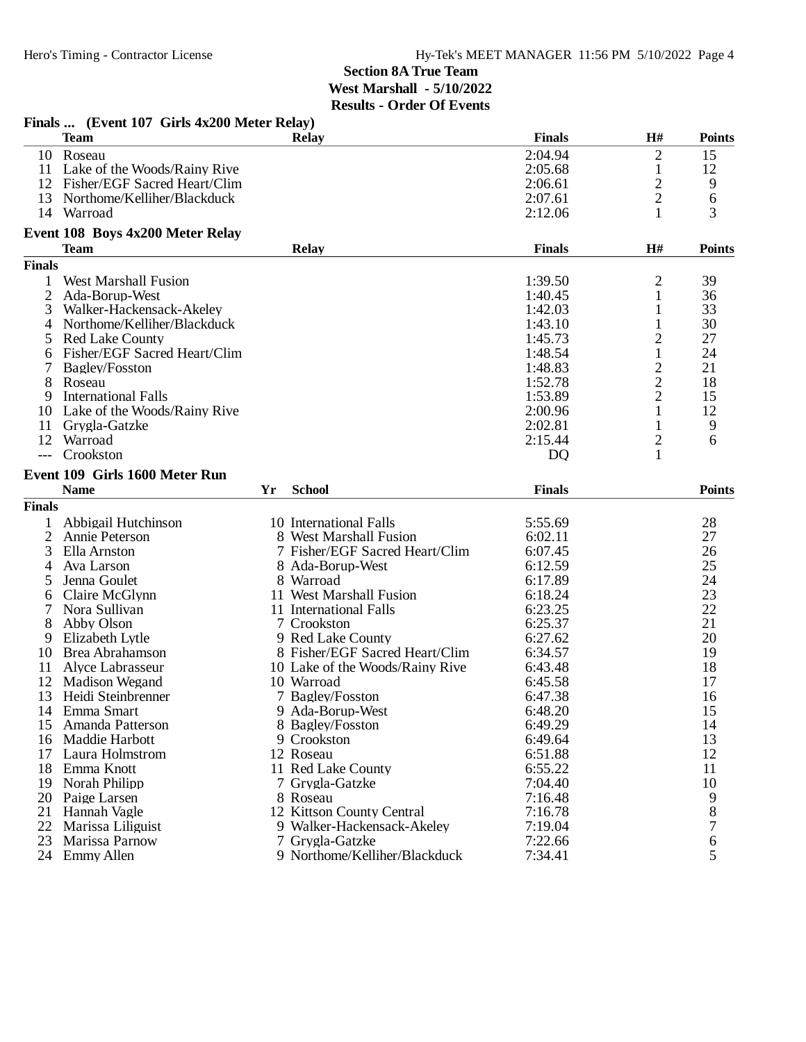|                | Finals  (Event 107 Girls 4x200 Meter Relay) |    |                                 |                |                |               |
|----------------|---------------------------------------------|----|---------------------------------|----------------|----------------|---------------|
|                | <b>Team</b>                                 |    | <b>Relay</b>                    | <b>Finals</b>  | H#             | <b>Points</b> |
|                | 10 Roseau                                   |    |                                 | 2:04.94        | $\overline{2}$ | 15            |
| 11             | Lake of the Woods/Rainy Rive                |    |                                 | 2:05.68        | $\mathbf{1}$   | 12            |
|                | 12 Fisher/EGF Sacred Heart/Clim             |    |                                 | 2:06.61        | $\overline{c}$ | 9             |
| 13             | Northome/Kelliher/Blackduck                 |    |                                 | 2:07.61        | $\overline{2}$ | 6             |
| 14             | Warroad                                     |    |                                 | 2:12.06        | 1              | 3             |
|                | Event 108 Boys 4x200 Meter Relay            |    |                                 |                |                |               |
|                | <b>Team</b>                                 |    | <b>Relay</b>                    | <b>Finals</b>  | H#             | <b>Points</b> |
| <b>Finals</b>  |                                             |    |                                 |                |                |               |
| 1              | <b>West Marshall Fusion</b>                 |    |                                 | 1:39.50        | 2              | 39            |
| $\overline{2}$ | Ada-Borup-West                              |    |                                 | 1:40.45        | 1              | 36            |
| 3              | Walker-Hackensack-Akeley                    |    |                                 | 1:42.03        | 1              | 33            |
| 4              | Northome/Kelliher/Blackduck                 |    |                                 | 1:43.10        | 1              | 30            |
| 5              | <b>Red Lake County</b>                      |    |                                 | 1:45.73        | $\overline{c}$ | 27            |
| 6              | Fisher/EGF Sacred Heart/Clim                |    |                                 | 1:48.54        | $\mathbf{1}$   | 24            |
| 7              | Bagley/Fosston                              |    |                                 | 1:48.83        | $\overline{c}$ | 21            |
| 8              | Roseau                                      |    |                                 | 1:52.78        | $\overline{c}$ | 18            |
| 9              | <b>International Falls</b>                  |    |                                 | 1:53.89        | $\overline{2}$ | 15            |
| 10             | Lake of the Woods/Rainy Rive                |    |                                 | 2:00.96        | 1              | 12            |
| 11             | Grygla-Gatzke                               |    |                                 | 2:02.81        | 1              | 9             |
| 12             | Warroad                                     |    |                                 | 2:15.44        | $\overline{c}$ | 6             |
| $---$          | Crookston                                   |    |                                 | D <sub>Q</sub> | $\mathbf{1}$   |               |
|                | Event 109 Girls 1600 Meter Run              |    |                                 |                |                |               |
|                | <b>Name</b>                                 | Yr | <b>School</b>                   | <b>Finals</b>  |                | <b>Points</b> |
| <b>Finals</b>  |                                             |    |                                 |                |                |               |
| 1              | Abbigail Hutchinson                         |    | 10 International Falls          | 5:55.69        |                | 28            |
| $\overline{2}$ | Annie Peterson                              |    | 8 West Marshall Fusion          | 6:02.11        |                | 27            |
| 3              | Ella Arnston                                |    | 7 Fisher/EGF Sacred Heart/Clim  | 6:07.45        |                | 26            |
| 4              | Ava Larson                                  |    | 8 Ada-Borup-West                | 6:12.59        |                | 25            |
| 5              | Jenna Goulet                                |    | 8 Warroad                       | 6:17.89        |                | 24            |
| 6              | Claire McGlynn                              |    | 11 West Marshall Fusion         | 6:18.24        |                | 23            |
| 7              | Nora Sullivan                               |    | 11 International Falls          | 6:23.25        |                | 22            |
| 8              | Abby Olson                                  |    | 7 Crookston                     | 6:25.37        |                | 21            |
| 9              | Elizabeth Lytle                             |    | 9 Red Lake County               | 6:27.62        |                | 20            |
| 10             | Brea Abrahamson                             |    | 8 Fisher/EGF Sacred Heart/Clim  | 6:34.57        |                | 19            |
| 11             | Alyce Labrasseur                            |    | 10 Lake of the Woods/Rainy Rive | 6:43.48        |                | 18            |
| 12             | <b>Madison Wegand</b>                       |    | 10 Warroad                      | 6:45.58        |                | 17            |
|                | 13 Heidi Steinbrenner                       |    | 7 Bagley/Fosston                | 6:47.38        |                | 16            |
| 14             | Emma Smart                                  |    | 9 Ada-Borup-West                | 6:48.20        |                | 15            |
| 15             | Amanda Patterson                            |    | 8 Bagley/Fosston                | 6:49.29        |                | 14            |
| 16             | Maddie Harbott                              |    | 9 Crookston                     | 6:49.64        |                | 13            |
| 17             | Laura Holmstrom                             |    | 12 Roseau                       | 6:51.88        |                | 12            |
| 18             | Emma Knott                                  |    | 11 Red Lake County              | 6:55.22        |                | 11            |
| 19             | Norah Philipp                               |    | 7 Grygla-Gatzke                 | 7:04.40        |                | 10            |
| 20             | Paige Larsen                                |    | 8 Roseau                        | 7:16.48        |                | 9             |
| 21             | Hannah Vagle                                |    | 12 Kittson County Central       | 7:16.78        |                | 8             |
| 22             | Marissa Liliguist                           |    | 9 Walker-Hackensack-Akeley      | 7:19.04        |                | 7             |
| 23             | Marissa Parnow                              |    | 7 Grygla-Gatzke                 | 7:22.66        |                | 6             |
|                | 24 Emmy Allen                               |    | 9 Northome/Kelliher/Blackduck   | 7:34.41        |                | 5             |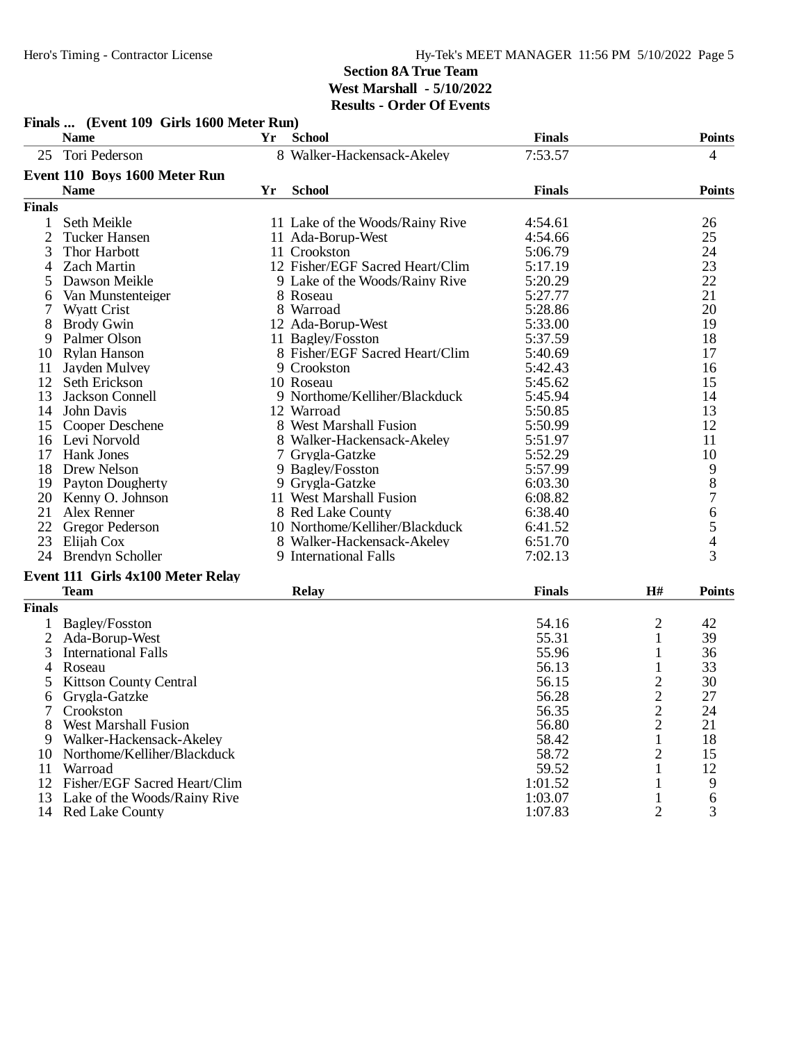14 Red Lake County

## **Section 8A True Team West Marshall - 5/10/2022 Results - Order Of Events**

|                | Finals  (EVEN 102 GHTs 1000 MEter Kun)<br><b>Name</b> | Yr | <b>School</b>                   | <b>Finals</b> |                | <b>Points</b>                         |
|----------------|-------------------------------------------------------|----|---------------------------------|---------------|----------------|---------------------------------------|
|                | 25 Tori Pederson                                      |    | 8 Walker-Hackensack-Akeley      | 7:53.57       |                | 4                                     |
|                | Event 110 Boys 1600 Meter Run                         |    |                                 |               |                |                                       |
|                | <b>Name</b>                                           | Yr | <b>School</b>                   | <b>Finals</b> |                | <b>Points</b>                         |
| <b>Finals</b>  |                                                       |    |                                 |               |                |                                       |
| 1              | Seth Meikle                                           |    | 11 Lake of the Woods/Rainy Rive | 4:54.61       |                | 26                                    |
| $\overline{2}$ | <b>Tucker Hansen</b>                                  |    | 11 Ada-Borup-West               | 4:54.66       |                | 25                                    |
| 3              | Thor Harbott                                          |    | 11 Crookston                    | 5:06.79       |                | 24                                    |
| 4              | <b>Zach Martin</b>                                    |    | 12 Fisher/EGF Sacred Heart/Clim | 5:17.19       |                | 23                                    |
| 5              | Dawson Meikle                                         |    | 9 Lake of the Woods/Rainy Rive  | 5:20.29       |                | 22                                    |
| 6              | Van Munstenteiger                                     |    | 8 Roseau                        | 5:27.77       |                | 21                                    |
| 7              | <b>Wyatt Crist</b>                                    |    | 8 Warroad                       | 5:28.86       |                | 20                                    |
| 8              | <b>Brody Gwin</b>                                     |    | 12 Ada-Borup-West               | 5:33.00       |                | 19                                    |
| 9              | Palmer Olson                                          |    | 11 Bagley/Fosston               | 5:37.59       |                | 18                                    |
| 10             | <b>Rylan Hanson</b>                                   |    | 8 Fisher/EGF Sacred Heart/Clim  | 5:40.69       |                | 17                                    |
| 11             | Jayden Mulvey                                         |    | 9 Crookston                     | 5:42.43       |                | 16                                    |
| 12             | Seth Erickson                                         |    | 10 Roseau                       | 5:45.62       |                | 15                                    |
| 13             | Jackson Connell                                       |    | 9 Northome/Kelliher/Blackduck   | 5:45.94       |                | 14                                    |
| 14             | John Davis                                            |    | 12 Warroad                      | 5:50.85       |                | 13                                    |
|                | 15 Cooper Deschene                                    |    | 8 West Marshall Fusion          | 5:50.99       |                | 12                                    |
|                | 16 Levi Norvold                                       |    | 8 Walker-Hackensack-Akeley      | 5:51.97       |                | 11                                    |
| 17             | <b>Hank Jones</b>                                     |    | 7 Grygla-Gatzke                 | 5:52.29       |                | 10                                    |
|                | 18 Drew Nelson                                        |    | 9 Bagley/Fosston                | 5:57.99       |                |                                       |
| 19             | <b>Payton Dougherty</b>                               |    | 9 Grygla-Gatzke                 | 6:03.30       |                | $\begin{array}{c} 9 \\ 8 \end{array}$ |
|                | 20 Kenny O. Johnson                                   |    | 11 West Marshall Fusion         | 6:08.82       |                | $\overline{7}$                        |
|                | 21 Alex Renner                                        |    | 8 Red Lake County               | 6:38.40       |                | 6                                     |
| 22             | <b>Gregor Pederson</b>                                |    | 10 Northome/Kelliher/Blackduck  | 6:41.52       |                | 5                                     |
|                | 23 Elijah Cox                                         |    | 8 Walker-Hackensack-Akeley      | 6:51.70       |                | $\overline{4}$                        |
|                | 24 Brendyn Scholler                                   |    | 9 International Falls           | 7:02.13       |                | 3                                     |
|                | Event 111 Girls 4x100 Meter Relay                     |    |                                 |               |                |                                       |
|                | <b>Team</b>                                           |    | Relay                           | <b>Finals</b> | H#             | <b>Points</b>                         |
| <b>Finals</b>  |                                                       |    |                                 |               |                |                                       |
| 1              | <b>Bagley/Fosston</b>                                 |    |                                 | 54.16         | 2              | 42                                    |
| $\overline{2}$ | Ada-Borup-West                                        |    |                                 | 55.31         | $\mathbf{1}$   | 39                                    |
| 3              | <b>International Falls</b>                            |    |                                 | 55.96         | 1              | 36                                    |
| 4              | Roseau                                                |    |                                 | 56.13         | 1              | 33                                    |
| 5              | <b>Kittson County Central</b>                         |    |                                 | 56.15         | $\overline{c}$ | 30                                    |
| 6              | Grygla-Gatzke                                         |    |                                 | 56.28         | $\overline{c}$ | 27                                    |
| 7              | Crookston                                             |    |                                 | 56.35         | $\overline{c}$ | 24                                    |
| 8              | <b>West Marshall Fusion</b>                           |    |                                 | 56.80         | $\overline{2}$ | 21                                    |
| 9              | Walker-Hackensack-Akeley                              |    |                                 | 58.42         | $\mathbf{1}$   | 18                                    |
| 10             | Northome/Kelliher/Blackduck                           |    |                                 | 58.72         | $\overline{2}$ | 15                                    |
| 11             | Warroad                                               |    |                                 | 59.52         | $\mathbf{1}$   | 12                                    |
|                |                                                       |    |                                 |               |                |                                       |

12 Fisher/EGF Sacred Heart/Clim 1:01.52 1 9<br>13 Lake of the Woods/Rainy Rive 1:03.07 1 6 13 Lake of the Woods/Rainy Rive 1:03.07 1 6<br>14 Red Lake County 1:07.83 2 3

# **Finals ... (Event 109 Girls 1600 Meter Run)**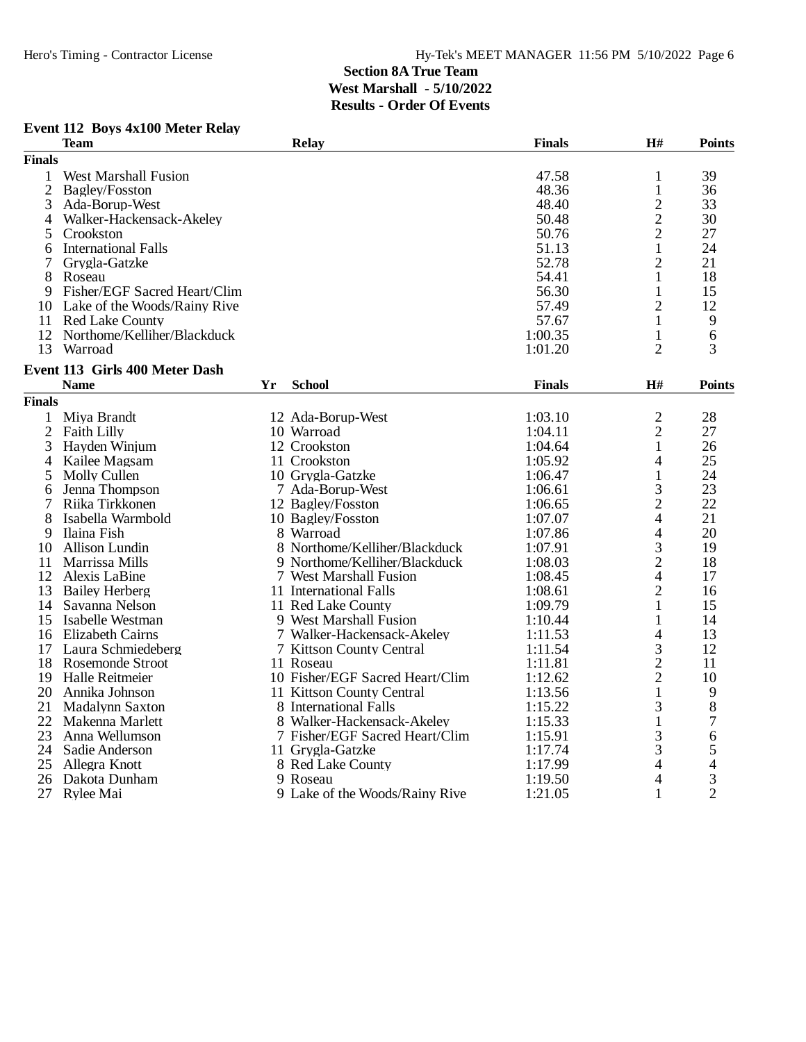### **Event 112 Boys 4x100 Meter Relay**

|                | <b>Team</b>                    |    | <b>Relay</b>                    | <b>Finals</b> | H#             | <b>Points</b>  |
|----------------|--------------------------------|----|---------------------------------|---------------|----------------|----------------|
| <b>Finals</b>  |                                |    |                                 |               |                |                |
| 1              | <b>West Marshall Fusion</b>    |    |                                 | 47.58         | 1              | 39             |
| $\overline{2}$ | Bagley/Fosston                 |    |                                 | 48.36         | $\mathbf{1}$   | 36             |
| 3              | Ada-Borup-West                 |    |                                 | 48.40         | $\overline{c}$ | 33             |
| 4              | Walker-Hackensack-Akeley       |    |                                 | 50.48         | $\overline{c}$ | 30             |
| 5              | Crookston                      |    |                                 | 50.76         | $\overline{2}$ | 27             |
| 6              | <b>International Falls</b>     |    |                                 | 51.13         | $\mathbf{1}$   | 24             |
| 7              | Grygla-Gatzke                  |    |                                 | 52.78         | $\overline{2}$ | 21             |
| 8              | Roseau                         |    |                                 | 54.41         | $\mathbf{1}$   | 18             |
| 9              | Fisher/EGF Sacred Heart/Clim   |    |                                 | 56.30         | $\mathbf{1}$   | 15             |
| 10             | Lake of the Woods/Rainy Rive   |    |                                 | 57.49         | $\overline{2}$ | 12             |
|                | 11 Red Lake County             |    |                                 | 57.67         | 1              | 9              |
| 12             | Northome/Kelliher/Blackduck    |    |                                 | 1:00.35       | 1              | 6              |
| 13             | Warroad                        |    |                                 | 1:01.20       | $\overline{2}$ | 3              |
|                |                                |    |                                 |               |                |                |
|                | Event 113 Girls 400 Meter Dash |    |                                 |               |                |                |
|                | <b>Name</b>                    | Yr | <b>School</b>                   | <b>Finals</b> | H#             | <b>Points</b>  |
| <b>Finals</b>  |                                |    |                                 |               |                |                |
| $\mathbf{1}$   | Miya Brandt                    |    | 12 Ada-Borup-West               | 1:03.10       | $\overline{c}$ | 28             |
| $\overline{2}$ | <b>Faith Lilly</b>             |    | 10 Warroad                      | 1:04.11       | $\overline{2}$ | 27             |
| 3              | Hayden Winjum                  |    | 12 Crookston                    | 1:04.64       | $\mathbf{1}$   | 26             |
| 4              | Kailee Magsam                  |    | 11 Crookston                    | 1:05.92       | 4              | 25             |
| 5              | Molly Cullen                   |    | 10 Grygla-Gatzke                | 1:06.47       | $\mathbf{1}$   | 24             |
| 6              | Jenna Thompson                 |    | 7 Ada-Borup-West                | 1:06.61       | 3              | 23             |
|                | Riika Tirkkonen                |    | 12 Bagley/Fosston               | 1:06.65       | $\overline{c}$ | 22             |
| 8              | Isabella Warmbold              |    | 10 Bagley/Fosston               | 1:07.07       | $\overline{4}$ | 21             |
| 9              | Ilaina Fish                    |    | 8 Warroad                       | 1:07.86       | 4              | 20             |
| 10             | Allison Lundin                 |    | 8 Northome/Kelliher/Blackduck   | 1:07.91       | 3              | 19             |
| 11             | Marrissa Mills                 |    | 9 Northome/Kelliher/Blackduck   | 1:08.03       | $\overline{c}$ | 18             |
| 12             | Alexis LaBine                  |    | 7 West Marshall Fusion          | 1:08.45       | $\overline{4}$ | 17             |
| 13             | <b>Bailey Herberg</b>          |    | 11 International Falls          | 1:08.61       | $\overline{2}$ | 16             |
| 14             | Savanna Nelson                 |    | 11 Red Lake County              | 1:09.79       | $\mathbf{1}$   | 15             |
| 15             | Isabelle Westman               |    | 9 West Marshall Fusion          | 1:10.44       | $\mathbf{1}$   | 14             |
| 16             | <b>Elizabeth Cairns</b>        |    | 7 Walker-Hackensack-Akeley      | 1:11.53       | 4              | 13             |
| 17             | Laura Schmiedeberg             |    | 7 Kittson County Central        | 1:11.54       | 3              | 12             |
| 18             | Rosemonde Stroot               |    | 11 Roseau                       | 1:11.81       | $\overline{2}$ | 11             |
| 19             | Halle Reitmeier                |    | 10 Fisher/EGF Sacred Heart/Clim | 1:12.62       | $\overline{2}$ | 10             |
| 20             | Annika Johnson                 |    | 11 Kittson County Central       | 1:13.56       | 1              | 9              |
| 21             | <b>Madalynn Saxton</b>         |    | 8 International Falls           | 1:15.22       | 3              | 8              |
| 22             | Makenna Marlett                |    | 8 Walker-Hackensack-Akeley      | 1:15.33       | $\mathbf{1}$   | 7              |
| 23             | Anna Wellumson                 |    | 7 Fisher/EGF Sacred Heart/Clim  | 1:15.91       | 3              | 6              |
| 24             | Sadie Anderson                 |    | 11 Grygla-Gatzke                | 1:17.74       | 3              | 5              |
| 25             | Allegra Knott                  |    | 8 Red Lake County               | 1:17.99       | 4              | 4              |
| 26             | Dakota Dunham                  |    | 9 Roseau                        | 1:19.50       | 4              | 3              |
| 27             | Rylee Mai                      |    | 9 Lake of the Woods/Rainy Rive  | 1:21.05       | $\mathbf{1}$   | $\overline{2}$ |
|                |                                |    |                                 |               |                |                |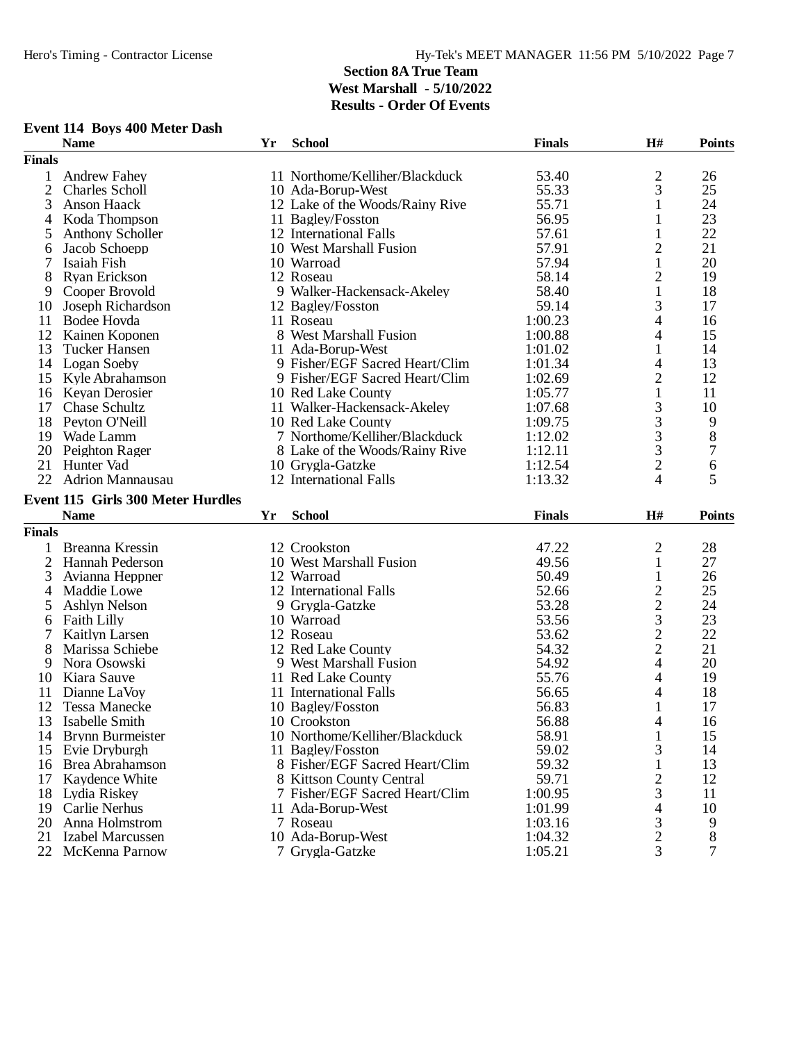**Event 114 Boys 400 Meter Dash**

**Finals**

### **Section 8A True Team West Marshall - 5/10/2022 Results - Order Of Events**

**Name Yr School Finals H# Points**

|                | <b>Andrew Fahev</b>                   |    | 11 Northome/Kelliher/Blackduck       | 53.40              | $\overline{c}$           | 26            |
|----------------|---------------------------------------|----|--------------------------------------|--------------------|--------------------------|---------------|
| 2              | <b>Charles Scholl</b>                 |    | 10 Ada-Borup-West                    | 55.33              | 3                        | 25            |
| 3              | Anson Haack                           |    | 12 Lake of the Woods/Rainy Rive      | 55.71              | 1                        | 24            |
| 4              | Koda Thompson                         |    | 11 Bagley/Fosston                    | 56.95              | 1                        | 23            |
| 5              | <b>Anthony Scholler</b>               |    | 12 International Falls               | 57.61              | 1                        | 22            |
| 6              | Jacob Schoepp                         |    | 10 West Marshall Fusion              | 57.91              | $\overline{2}$           | 21            |
| 7              | Isaiah Fish                           |    | 10 Warroad                           | 57.94              | 1                        | 20            |
| 8              | <b>Ryan Erickson</b>                  |    | 12 Roseau                            | 58.14              | $\overline{2}$           | 19            |
| 9              | Cooper Brovold                        |    | 9 Walker-Hackensack-Akeley           | 58.40              | $\mathbf{1}$             | 18            |
| 10             | Joseph Richardson                     |    | 12 Bagley/Fosston                    | 59.14              | 3                        | 17            |
| 11             | Bodee Hovda                           |    | 11 Roseau                            | 1:00.23            | 4                        | 16            |
| 12             | Kainen Koponen                        |    | 8 West Marshall Fusion               | 1:00.88            | 4                        | 15            |
| 13             | <b>Tucker Hansen</b>                  |    | 11 Ada-Borup-West                    | 1:01.02            | 1                        | 14            |
|                | 14 Logan Soeby                        |    | 9 Fisher/EGF Sacred Heart/Clim       | 1:01.34            | 4                        | 13            |
| 15             | Kyle Abrahamson                       |    | 9 Fisher/EGF Sacred Heart/Clim       | 1:02.69            | $\overline{c}$           | 12            |
| 16             | Keyan Derosier                        |    | 10 Red Lake County                   | 1:05.77            | $\mathbf{1}$             | 11            |
| 17             | Chase Schultz                         |    | 11 Walker-Hackensack-Akeley          | 1:07.68            | 3                        | 10            |
| 18             | Peyton O'Neill                        |    | 10 Red Lake County                   | 1:09.75            | 3                        | 9             |
| 19             | Wade Lamm                             |    | 7 Northome/Kelliher/Blackduck        | 1:12.02            | 3                        | 8             |
| 20             | Peighton Rager                        |    | 8 Lake of the Woods/Rainy Rive       | 1:12.11            | 3                        | 7             |
| 21             | Hunter Vad                            |    | 10 Grygla-Gatzke                     | 1:12.54            | $\overline{2}$           | $\sqrt{6}$    |
| 22             | <b>Adrion Mannausau</b>               |    | 12 International Falls               | 1:13.32            | 4                        | 5             |
|                | Event 115 Girls 300 Meter Hurdles     |    |                                      |                    |                          |               |
|                | <b>Name</b>                           | Yr | <b>School</b>                        | <b>Finals</b>      | H#                       | <b>Points</b> |
| <b>Finals</b>  |                                       |    |                                      |                    |                          |               |
| 1              | Breanna Kressin                       |    | 12 Crookston                         | 47.22              | 2                        | 28            |
| $\overline{2}$ | Hannah Pederson                       |    | 10 West Marshall Fusion              | 49.56              | $\mathbf{1}$             | 27            |
| 3              | Avianna Heppner                       |    | 12 Warroad                           | 50.49              | $\mathbf{1}$             | 26            |
| 4              | Maddie Lowe                           |    | 12 International Falls               | 52.66              | $\overline{\mathbf{c}}$  | 25            |
| 5              | Ashlyn Nelson                         |    | 9 Grygla-Gatzke                      | 53.28              | $\overline{c}$           | 24            |
| 6              | <b>Faith Lilly</b>                    |    | 10 Warroad                           |                    |                          |               |
| 7              |                                       |    |                                      |                    |                          |               |
| 8              |                                       |    |                                      | 53.56              | 3                        | 23            |
|                | Kaitlyn Larsen                        |    | 12 Roseau                            | 53.62              |                          | 22            |
| 9              | Marissa Schiebe                       |    | 12 Red Lake County                   | 54.32              | $\frac{2}{2}$            | 21            |
|                | Nora Osowski                          |    | 9 West Marshall Fusion               | 54.92              | $\overline{\mathcal{L}}$ | 20            |
| 10             | Kiara Sauve                           |    | 11 Red Lake County                   | 55.76              | 4                        | 19            |
| 11             | Dianne LaVoy                          |    | 11 International Falls               | 56.65              | 4                        | 18            |
| 12             | <b>Tessa Manecke</b>                  |    | 10 Bagley/Fosston                    | 56.83              | 1                        | 17            |
| 13             | Isabelle Smith                        |    | 10 Crookston                         | 56.88              | 4                        | 16            |
| 14             | Brynn Burmeister                      |    | 10 Northome/Kelliher/Blackduck       | 58.91              | 1                        | 15            |
| 15             | Evie Dryburgh                         |    | 11 Bagley/Fosston                    | 59.02              | 3                        | 14            |
| 16             | <b>Brea Abrahamson</b>                |    | 8 Fisher/EGF Sacred Heart/Clim       | 59.32              | $\mathbf{1}$             | 13            |
| 17             | Kaydence White                        |    | 8 Kittson County Central             | 59.71              | $\overline{2}$           | 12            |
| 18             | Lydia Riskey                          |    | 7 Fisher/EGF Sacred Heart/Clim       | 1:00.95            | 3                        | 11            |
| 19             | Carlie Nerhus                         |    | 11 Ada-Borup-West                    | 1:01.99            | 4                        | 10            |
| 20             | Anna Holmstrom                        |    | 7 Roseau                             | 1:03.16            | 3                        | 9             |
| 21             | Izabel Marcussen<br>22 McKenna Parnow |    | 10 Ada-Borup-West<br>7 Grygla-Gatzke | 1:04.32<br>1:05.21 | $\overline{c}$<br>3      | 8<br>7        |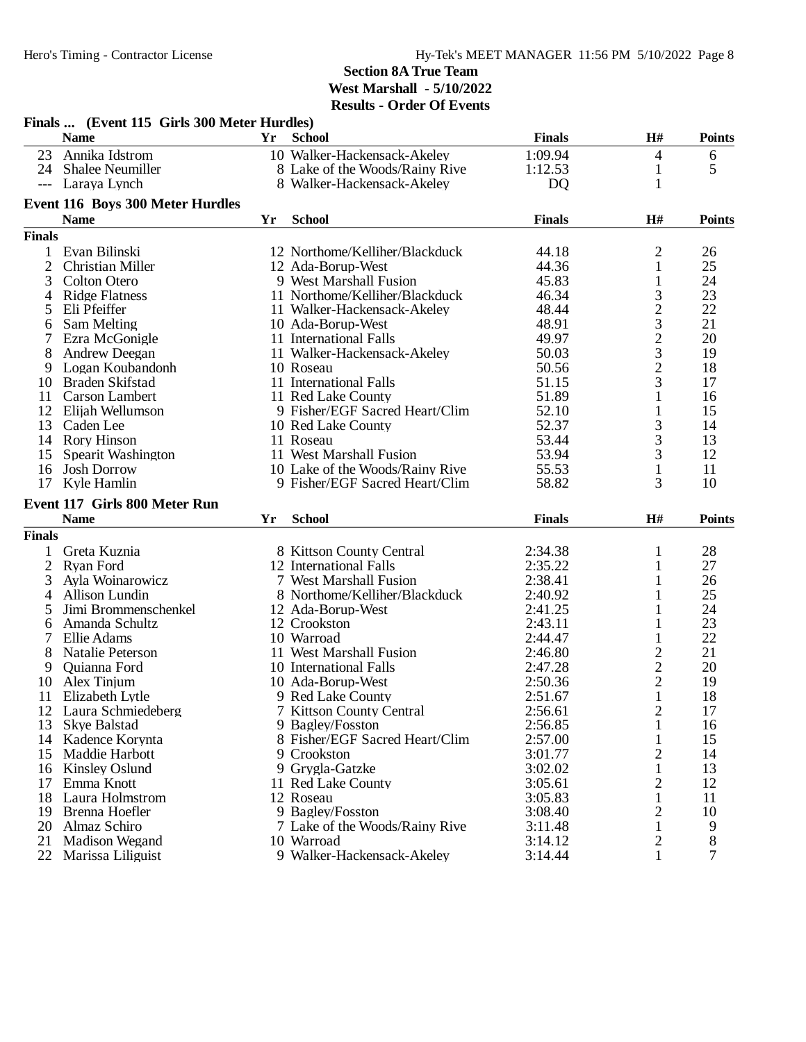|                | Finals  (Event 115 Girls 300 Meter Hurdles) |    |                                             |                |                |               |
|----------------|---------------------------------------------|----|---------------------------------------------|----------------|----------------|---------------|
|                | <b>Name</b>                                 | Yr | <b>School</b>                               | <b>Finals</b>  | H#             | <b>Points</b> |
| 23             | Annika Idstrom                              |    | 10 Walker-Hackensack-Akeley                 | 1:09.94        | $\overline{4}$ | 6             |
|                | 24 Shalee Neumiller                         |    | 8 Lake of the Woods/Rainy Rive              | 1:12.53        | $\mathbf{1}$   | 5             |
|                | --- Laraya Lynch                            |    | 8 Walker-Hackensack-Akeley                  | D <sub>Q</sub> | 1              |               |
|                | <b>Event 116 Boys 300 Meter Hurdles</b>     |    |                                             |                |                |               |
|                | <b>Name</b>                                 | Yr | <b>School</b>                               | <b>Finals</b>  | H#             | <b>Points</b> |
| <b>Finals</b>  |                                             |    |                                             |                |                |               |
| 1              | Evan Bilinski                               |    | 12 Northome/Kelliher/Blackduck              | 44.18          |                | 26            |
| $\overline{c}$ |                                             |    |                                             | 44.36          | 2              |               |
|                | <b>Christian Miller</b>                     |    | 12 Ada-Borup-West<br>9 West Marshall Fusion |                | 1              | 25            |
| 3              | Colton Otero<br><b>Ridge Flatness</b>       |    | 11 Northome/Kelliher/Blackduck              | 45.83          | $\mathbf{1}$   | 24            |
| 4              | Eli Pfeiffer                                |    |                                             | 46.34          | 3              | 23<br>22      |
| 5              |                                             |    | 11 Walker-Hackensack-Akeley                 | 48.44          | $\overline{c}$ |               |
| 6              | Sam Melting                                 |    | 10 Ada-Borup-West                           | 48.91          | 3              | 21            |
| 7              | Ezra McGonigle                              |    | 11 International Falls                      | 49.97          | $\overline{2}$ | 20            |
| 8              | <b>Andrew Deegan</b>                        |    | 11 Walker-Hackensack-Akeley                 | 50.03          | 3              | 19            |
| 9              | Logan Koubandonh                            |    | 10 Roseau                                   | 50.56          | $\overline{2}$ | 18            |
|                | 10 Braden Skifstad                          |    | 11 International Falls                      | 51.15          | 3              | 17            |
| 11             | Carson Lambert                              |    | 11 Red Lake County                          | 51.89          | 1              | 16            |
|                | 12 Elijah Wellumson                         |    | 9 Fisher/EGF Sacred Heart/Clim              | 52.10          | 1              | 15            |
| 13             | Caden Lee                                   |    | 10 Red Lake County                          | 52.37          | 3              | 14            |
| 14             | <b>Rory Hinson</b>                          |    | 11 Roseau                                   | 53.44          | 3              | 13            |
| 15             | Spearit Washington                          |    | 11 West Marshall Fusion                     | 53.94          | 3              | 12            |
| 16             | <b>Josh Dorrow</b>                          |    | 10 Lake of the Woods/Rainy Rive             | 55.53          | $\mathbf{1}$   | 11            |
|                | 17 Kyle Hamlin                              |    | 9 Fisher/EGF Sacred Heart/Clim              | 58.82          | 3              | 10            |
|                | Event 117 Girls 800 Meter Run               |    |                                             |                |                |               |
|                | <b>Name</b>                                 | Yr | <b>School</b>                               | <b>Finals</b>  | H#             | <b>Points</b> |
| <b>Finals</b>  |                                             |    |                                             |                |                |               |
|                | Greta Kuznia                                |    | 8 Kittson County Central                    | 2:34.38        | 1              | 28            |
| 2              | <b>Ryan Ford</b>                            |    | 12 International Falls                      | 2:35.22        | 1              | 27            |
| 3              | Ayla Woinarowicz                            |    | 7 West Marshall Fusion                      | 2:38.41        | 1              | 26            |
| 4              | Allison Lundin                              |    | 8 Northome/Kelliher/Blackduck               | 2:40.92        | 1              | 25            |
| 5              | Jimi Brommenschenkel                        |    | 12 Ada-Borup-West                           | 2:41.25        | 1              | 24            |
| 6              | Amanda Schultz                              |    | 12 Crookston                                | 2:43.11        | 1              | 23            |
| 7              | Ellie Adams                                 |    | 10 Warroad                                  | 2:44.47        | 1              | 22            |
| 8              | <b>Natalie Peterson</b>                     |    | 11 West Marshall Fusion                     | 2:46.80        | 2              | 21            |
| 9              | <b>Ouianna Ford</b>                         |    | 10 International Falls                      | 2:47.28        | $\overline{c}$ | 20            |
| 10             | Alex Tinjum                                 |    | 10 Ada-Borup-West                           | 2:50.36        | $\overline{c}$ | 19            |
| 11             | Elizabeth Lytle                             |    | 9 Red Lake County                           | 2:51.67        | $\mathbf{1}$   | 18            |
| 12             | Laura Schmiedeberg                          |    | 7 Kittson County Central                    | 2:56.61        | $\overline{c}$ | 17            |
| 13             | <b>Skye Balstad</b>                         |    | 9 Bagley/Fosston                            | 2:56.85        |                | 16            |
| 14             | Kadence Korynta                             |    | 8 Fisher/EGF Sacred Heart/Clim              | 2:57.00        |                | 15            |
|                |                                             |    |                                             | 3:01.77        | $\overline{2}$ |               |
| 15             | Maddie Harbott                              |    | 9 Crookston<br>9 Grygla-Gatzke              | 3:02.02        |                | 14            |
| 16             | Kinsley Oslund                              |    |                                             |                | 1              | 13            |
| 17             | Emma Knott                                  |    | 11 Red Lake County                          | 3:05.61        | $\overline{c}$ | 12            |
| 18             | Laura Holmstrom                             |    | 12 Roseau                                   | 3:05.83        | 1              | 11            |
| 19             | Brenna Hoefler                              |    | 9 Bagley/Fosston                            | 3:08.40        | 2              | 10            |
| 20             | Almaz Schiro                                |    | 7 Lake of the Woods/Rainy Rive              | 3:11.48        | 1              | 9             |
| 21             | <b>Madison Wegand</b>                       |    | 10 Warroad                                  | 3:14.12        | $\overline{c}$ | 8             |
| 22             | Marissa Liliguist                           |    | 9 Walker-Hackensack-Akeley                  | 3:14.44        | 1              | 7             |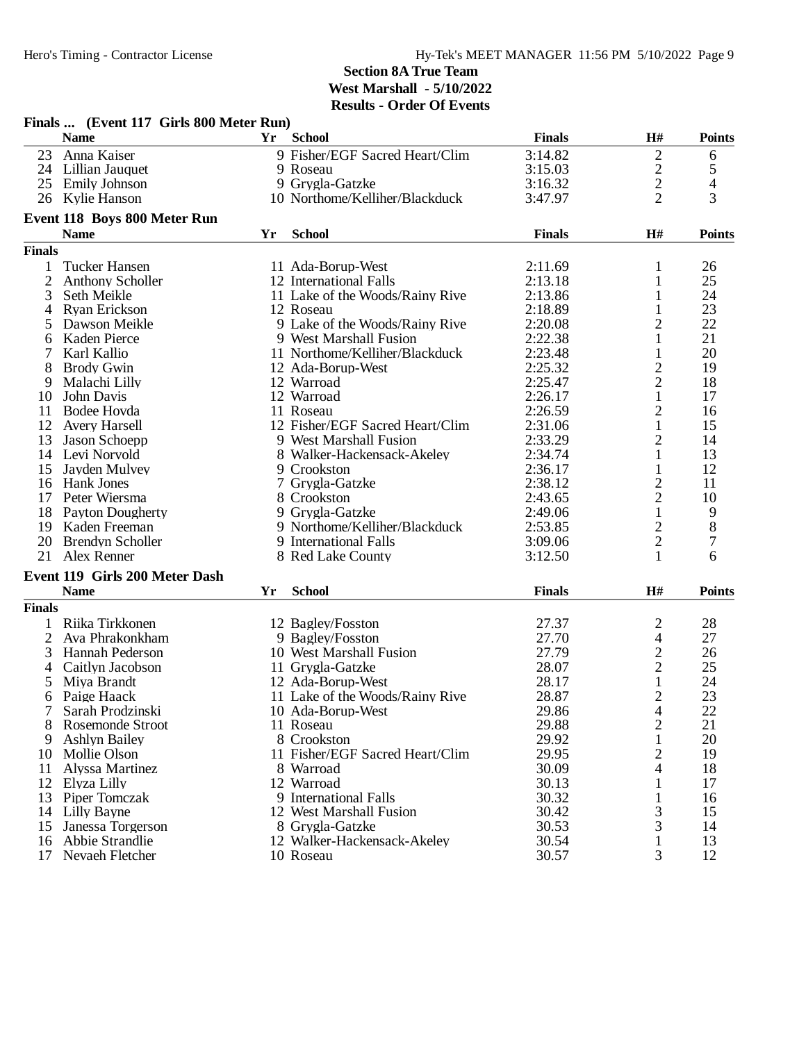|                | Finals  (EVENT 117 OH IS 000 MEET KUN)<br><b>Name</b> |    | Yr School                       | <b>Finals</b> | H#                       | <b>Points</b> |
|----------------|-------------------------------------------------------|----|---------------------------------|---------------|--------------------------|---------------|
|                | 23 Anna Kaiser                                        |    | 9 Fisher/EGF Sacred Heart/Clim  | 3:14.82       | $\overline{2}$           | 6             |
|                | 24 Lillian Jauquet                                    |    | 9 Roseau                        | 3:15.03       |                          | 5             |
|                | 25 Emily Johnson                                      |    | 9 Grygla-Gatzke                 | 3:16.32       | $\frac{2}{2}$            | 4             |
|                | 26 Kylie Hanson                                       |    | 10 Northome/Kelliher/Blackduck  | 3:47.97       | $\overline{2}$           | 3             |
|                | Event 118 Boys 800 Meter Run                          |    |                                 |               |                          |               |
|                | <b>Name</b>                                           | Yr | <b>School</b>                   | <b>Finals</b> | H#                       | <b>Points</b> |
| <b>Finals</b>  |                                                       |    |                                 |               |                          |               |
|                | <b>Tucker Hansen</b>                                  |    | 11 Ada-Borup-West               | 2:11.69       | 1                        | 26            |
| $\overline{2}$ | <b>Anthony Scholler</b>                               |    | 12 International Falls          | 2:13.18       | $\mathbf{1}$             | 25            |
| 3              | Seth Meikle                                           |    | 11 Lake of the Woods/Rainy Rive | 2:13.86       | $\mathbf{1}$             | 24            |
| 4              | Ryan Erickson                                         |    | 12 Roseau                       | 2:18.89       | 1                        | 23            |
|                | Dawson Meikle                                         |    | 9 Lake of the Woods/Rainy Rive  | 2:20.08       | $\overline{2}$           | 22            |
| 6              | Kaden Pierce                                          |    | 9 West Marshall Fusion          | 2:22.38       | 1                        | 21            |
|                | Karl Kallio                                           |    | 11 Northome/Kelliher/Blackduck  | 2:23.48       | 1                        | 20            |
| 8              | <b>Brody Gwin</b>                                     |    | 12 Ada-Borup-West               | 2:25.32       | $\overline{c}$           | 19            |
| 9              | Malachi Lilly                                         |    | 12 Warroad                      | 2:25.47       | $\overline{c}$           | 18            |
| 10             | John Davis                                            |    | 12 Warroad                      | 2:26.17       | $\mathbf{1}$             | 17            |
| 11             | Bodee Hovda                                           |    | 11 Roseau                       | 2:26.59       | 2                        | 16            |
| 12             | <b>Avery Harsell</b>                                  |    | 12 Fisher/EGF Sacred Heart/Clim | 2:31.06       | $\mathbf{1}$             | 15            |
| 13             | Jason Schoepp                                         |    | 9 West Marshall Fusion          | 2:33.29       | $\overline{c}$           | 14            |
|                | 14 Levi Norvold                                       |    | 8 Walker-Hackensack-Akeley      | 2:34.74       | $\mathbf{1}$             | 13            |
| 15             | Jayden Mulvey                                         |    | 9 Crookston                     | 2:36.17       | $\mathbf{1}$             | 12            |
|                | 16 Hank Jones                                         |    | 7 Grygla-Gatzke                 | 2:38.12       | $\overline{c}$           | 11            |
| 17             | Peter Wiersma                                         |    | 8 Crookston                     | 2:43.65       | $\overline{2}$           | 10            |
|                | 18 Payton Dougherty                                   |    | 9 Grygla-Gatzke                 | 2:49.06       | $\mathbf{1}$             | 9             |
|                | 19 Kaden Freeman                                      |    |                                 |               |                          | $\,8\,$       |
|                |                                                       |    | 9 Northome/Kelliher/Blackduck   | 2:53.85       | $\overline{c}$           |               |
| 20             | <b>Brendyn Scholler</b>                               |    | 9 International Falls           | 3:09.06       | $\overline{c}$           | 7             |
|                | 21 Alex Renner                                        |    | 8 Red Lake County               | 3:12.50       | 1                        | 6             |
|                | Event 119 Girls 200 Meter Dash                        |    |                                 |               |                          |               |
|                | <b>Name</b>                                           | Yr | <b>School</b>                   | <b>Finals</b> | H#                       | <b>Points</b> |
| <b>Finals</b>  |                                                       |    |                                 |               |                          |               |
|                | Riika Tirkkonen                                       |    | 12 Bagley/Fosston               | 27.37         | 2                        | 28            |
| $\overline{2}$ | Ava Phrakonkham                                       |    | 9 Bagley/Fosston                | 27.70         | $\overline{\mathcal{A}}$ | 27            |
| 3              | <b>Hannah Pederson</b>                                |    | 10 West Marshall Fusion         | 27.79         | $\overline{c}$           | 26            |
| 4              | Caitlyn Jacobson                                      |    | 11 Grygla-Gatzke                | 28.07         | $\overline{c}$           | 25            |
| 5              | Miya Brandt                                           |    | 12 Ada-Borup-West               | 28.17         | $\mathbf{1}$             | 24            |
| 6              | Paige Haack                                           |    | 11 Lake of the Woods/Rainy Rive | 28.87         | $\overline{c}$           | 23            |
| 7              | Sarah Prodzinski                                      |    | 10 Ada-Borup-West               | 29.86         | $\overline{4}$           | 22            |
|                | <b>Rosemonde Stroot</b>                               |    | 11 Roseau                       | 29.88         | $\overline{c}$           | 21            |
| 9              | <b>Ashlyn Bailey</b>                                  |    | 8 Crookston                     | 29.92         | $\mathbf{1}$             | 20            |
| 10             | Mollie Olson                                          |    | 11 Fisher/EGF Sacred Heart/Clim | 29.95         | 2                        | 19            |
| 11             | Alyssa Martinez                                       |    | 8 Warroad                       | 30.09         | 4                        | 18            |
| 12             | Elyza Lilly                                           |    | 12 Warroad                      | 30.13         | 1                        | 17            |
| 13             | Piper Tomczak                                         |    | 9 International Falls           | 30.32         | 1                        | 16            |
| 14             | Lilly Bayne                                           |    | 12 West Marshall Fusion         | 30.42         | 3                        | 15            |
| 15             | Janessa Torgerson                                     |    | 8 Grygla-Gatzke                 | 30.53         | 3                        | 14            |
|                | 16 Abbie Strandlie                                    |    | 12 Walker-Hackensack-Akeley     | 30.54         | $\mathbf{1}$             | 13            |
| 17             | Nevaeh Fletcher                                       |    | 10 Roseau                       | 30.57         | 3                        | 12            |

# **Finals ... (Event 117 Girls 800 Meter Run)**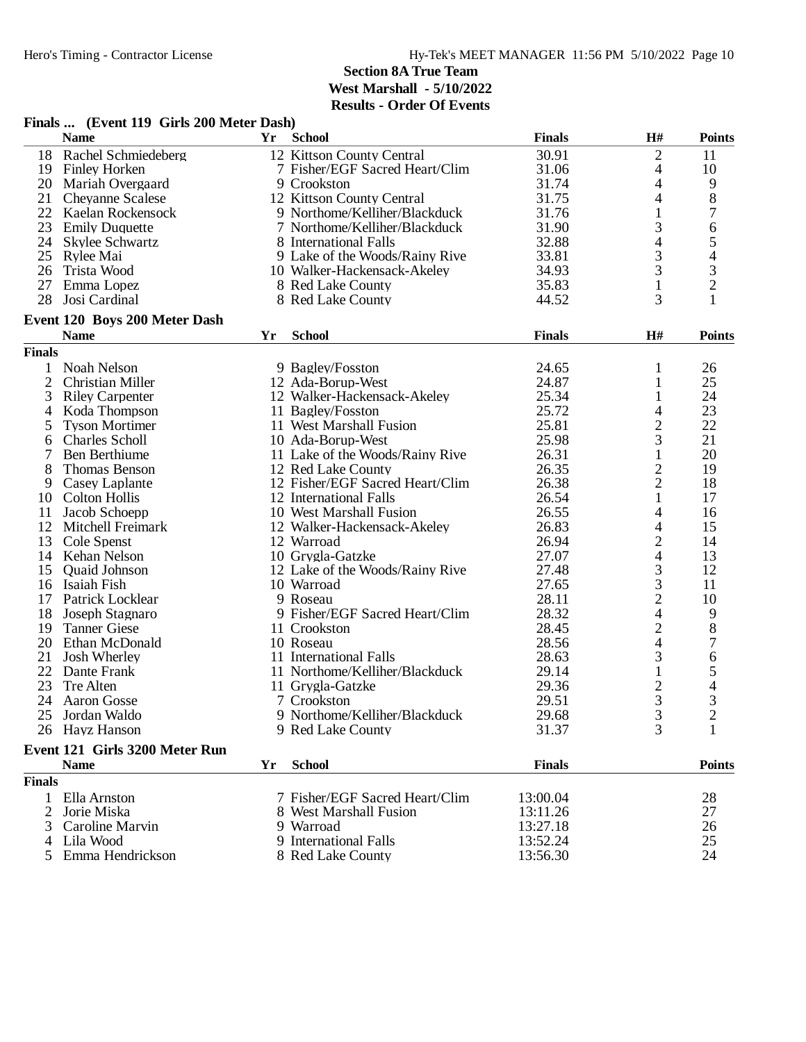|               | Finals  (Event 119 Girls 200 Meter Dash) |    |                                 |               |                          |                |
|---------------|------------------------------------------|----|---------------------------------|---------------|--------------------------|----------------|
|               | <b>Name</b>                              | Yr | <b>School</b>                   | <b>Finals</b> | H#                       | <b>Points</b>  |
| 18            | Rachel Schmiedeberg                      |    | 12 Kittson County Central       | 30.91         | $\overline{2}$           | 11             |
| 19            | <b>Finley Horken</b>                     |    | 7 Fisher/EGF Sacred Heart/Clim  | 31.06         | 4                        | 10             |
|               | 20 Mariah Overgaard                      |    | 9 Crookston                     | 31.74         | $\overline{\mathcal{A}}$ | 9              |
|               | 21 Cheyanne Scalese                      |    | 12 Kittson County Central       | 31.75         | 4                        | $8\,$          |
| 22            | Kaelan Rockensock                        |    | 9 Northome/Kelliher/Blackduck   | 31.76         | $\mathbf{1}$             | 7              |
|               | 23 Emily Duquette                        |    | 7 Northome/Kelliher/Blackduck   | 31.90         | 3                        | 6              |
|               | 24 Skylee Schwartz                       |    | 8 International Falls           | 32.88         | 4                        | 5              |
| 25            | Rylee Mai                                |    | 9 Lake of the Woods/Rainy Rive  | 33.81         | 3                        | 4              |
| 26            | Trista Wood                              |    | 10 Walker-Hackensack-Akeley     | 34.93         | 3                        | $\mathfrak{Z}$ |
| 27            | Emma Lopez                               |    | 8 Red Lake County               | 35.83         | $\mathbf{1}$             | $\overline{2}$ |
| 28            | Josi Cardinal                            |    | 8 Red Lake County               | 44.52         | 3                        | 1              |
|               | Event 120 Boys 200 Meter Dash            |    |                                 |               |                          |                |
|               | <b>Name</b>                              | Yr | <b>School</b>                   | <b>Finals</b> | $\mathbf{H}$ #           | <b>Points</b>  |
| <b>Finals</b> |                                          |    |                                 |               |                          |                |
| 1             | Noah Nelson                              |    | 9 Bagley/Fosston                | 24.65         | 1                        | 26             |
| 2             | Christian Miller                         |    | 12 Ada-Borup-West               | 24.87         | 1                        | 25             |
| 3             | <b>Riley Carpenter</b>                   |    | 12 Walker-Hackensack-Akeley     | 25.34         | 1                        | 24             |
| 4             | Koda Thompson                            |    | 11 Bagley/Fosston               | 25.72         | 4                        | 23             |
| 5             | <b>Tyson Mortimer</b>                    |    | 11 West Marshall Fusion         | 25.81         | $\overline{c}$           | 22             |
| 6             | <b>Charles Scholl</b>                    |    | 10 Ada-Borup-West               | 25.98         | 3                        | 21             |
|               | Ben Berthiume                            |    | 11 Lake of the Woods/Rainy Rive | 26.31         | 1                        | 20             |
| 8             | Thomas Benson                            |    | 12 Red Lake County              | 26.35         | $\mathbf{2}$             | 19             |
| 9             | Casey Laplante                           |    | 12 Fisher/EGF Sacred Heart/Clim | 26.38         | $\overline{2}$           | 18             |
| 10            | <b>Colton Hollis</b>                     |    | 12 International Falls          | 26.54         | $\mathbf{1}$             | 17             |
| 11            | Jacob Schoepp                            |    | 10 West Marshall Fusion         | 26.55         | 4                        | 16             |
| 12            | Mitchell Freimark                        |    | 12 Walker-Hackensack-Akeley     | 26.83         | 4                        | 15             |
| 13            | Cole Spenst                              |    | 12 Warroad                      | 26.94         | $\overline{c}$           | 14             |
| 14            | Kehan Nelson                             |    | 10 Grygla-Gatzke                | 27.07         | 4                        | 13             |
| 15            | <b>Quaid Johnson</b>                     |    | 12 Lake of the Woods/Rainy Rive | 27.48         | 3                        | 12             |
| 16            | Isaiah Fish                              |    | 10 Warroad                      | 27.65         | 3                        | 11             |
| 17            | Patrick Locklear                         |    | 9 Roseau                        | 28.11         | $\overline{c}$           | 10             |
| 18            | Joseph Stagnaro                          |    | 9 Fisher/EGF Sacred Heart/Clim  | 28.32         | 4                        | 9              |
| 19            | <b>Tanner Giese</b>                      |    | 11 Crookston                    | 28.45         | $\mathbf{2}$             | $8\,$          |
| 20            | Ethan McDonald                           |    | 10 Roseau                       | 28.56         | $\overline{\mathcal{L}}$ | 7              |
| 21            | Josh Wherley                             |    | 11 International Falls          | 28.63         | 3                        | 6              |
| 22            | Dante Frank                              |    | 11 Northome/Kelliher/Blackduck  | 29.14         | $\mathbf{1}$             | 5              |
| 23            | Tre Alten                                |    | 11 Grygla-Gatzke                | 29.36         | $\overline{c}$           | 4              |
|               | 24 Aaron Gosse                           |    | 7 Crookston                     | 29.51         | 3                        | 3              |
|               | 25 Jordan Waldo                          |    | 9 Northome/Kelliher/Blackduck   | 29.68         | $\mathfrak{Z}$           | $\mathfrak{2}$ |
|               | 26 Hayz Hanson                           |    | 9 Red Lake County               | 31.37         | 3                        | 1              |
|               | Event 121 Girls 3200 Meter Run           |    |                                 |               |                          |                |
|               | <b>Name</b>                              | Yr | <b>School</b>                   | <b>Finals</b> |                          | <b>Points</b>  |
| <b>Finals</b> |                                          |    |                                 |               |                          |                |
|               | 1 Ella Arnston                           |    | 7 Fisher/EGF Sacred Heart/Clim  | 13:00.04      |                          | 28             |
| 2             | Jorie Miska                              |    | 8 West Marshall Fusion          | 13:11.26      |                          | 27             |
| 3             | Caroline Marvin                          |    | 9 Warroad                       | 13:27.18      |                          | 26             |
|               | Lila Wood                                |    | 9 International Falls           | 13:52.24      |                          | 25             |
|               | 5 Emma Hendrickson                       |    | 8 Red Lake County               | 13:56.30      |                          | 24             |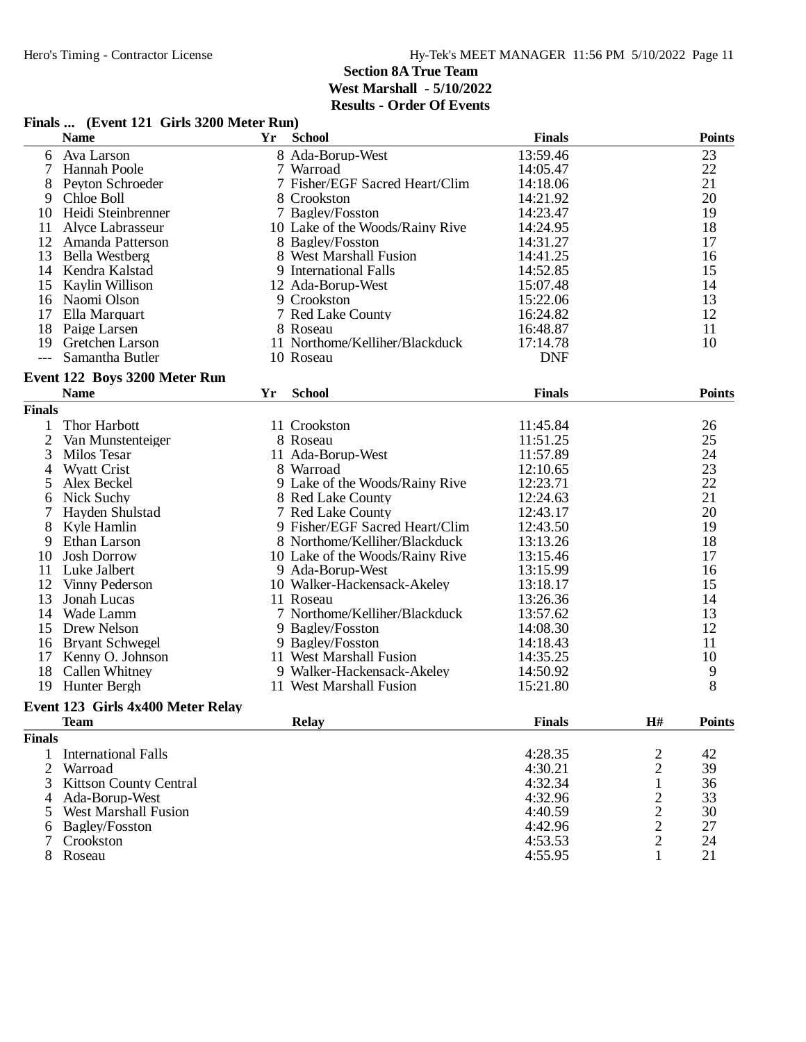|                | Finals  (Event 121 Girls 3200 Meter Run) |    |                                 |                    |                                           |               |
|----------------|------------------------------------------|----|---------------------------------|--------------------|-------------------------------------------|---------------|
|                | <b>Name</b>                              | Yr | <b>School</b>                   | <b>Finals</b>      |                                           | <b>Points</b> |
| 6              | Ava Larson                               |    | 8 Ada-Borup-West                | 13:59.46           |                                           | 23            |
| 7              | <b>Hannah Poole</b>                      |    | 7 Warroad                       | 14:05.47           |                                           | 22            |
|                | Peyton Schroeder                         |    | 7 Fisher/EGF Sacred Heart/Clim  | 14:18.06           |                                           | 21            |
| 9              | Chloe Boll                               |    | 8 Crookston                     | 14:21.92           |                                           | 20            |
| 10             | Heidi Steinbrenner                       |    | 7 Bagley/Fosston                | 14:23.47           |                                           | 19            |
| 11             | Alyce Labrasseur                         |    | 10 Lake of the Woods/Rainy Rive | 14:24.95           |                                           | 18            |
| 12             | Amanda Patterson                         |    | 8 Bagley/Fosston                | 14:31.27           |                                           | 17            |
| 13             | <b>Bella Westberg</b>                    |    | 8 West Marshall Fusion          | 14:41.25           |                                           | 16            |
|                | 14 Kendra Kalstad                        |    | 9 International Falls           | 14:52.85           |                                           | 15            |
| 15             | Kaylin Willison                          |    | 12 Ada-Borup-West               | 15:07.48           |                                           | 14            |
|                | 16 Naomi Olson                           |    | 9 Crookston                     | 15:22.06           |                                           | 13            |
|                | 17 Ella Marquart                         |    | 7 Red Lake County               | 16:24.82           |                                           | 12            |
| 18             | Paige Larsen                             |    | 8 Roseau                        | 16:48.87           |                                           | 11            |
| 19             | <b>Gretchen Larson</b>                   |    | 11 Northome/Kelliher/Blackduck  | 17:14.78           |                                           | 10            |
|                | Samantha Butler                          |    | 10 Roseau                       | <b>DNF</b>         |                                           |               |
|                | Event 122 Boys 3200 Meter Run            |    |                                 |                    |                                           |               |
|                | <b>Name</b>                              | Yr | <b>School</b>                   | <b>Finals</b>      |                                           | <b>Points</b> |
| <b>Finals</b>  |                                          |    |                                 |                    |                                           |               |
| 1              | Thor Harbott                             |    | 11 Crookston                    | 11:45.84           |                                           | 26            |
| $\mathfrak{2}$ | Van Munstenteiger                        |    | 8 Roseau                        | 11:51.25           |                                           | 25            |
| 3              | Milos Tesar                              |    | 11 Ada-Borup-West               | 11:57.89           |                                           | 24            |
| $\overline{4}$ | <b>Wyatt Crist</b>                       |    | 8 Warroad                       | 12:10.65           |                                           | 23            |
| 5              | Alex Beckel                              |    | 9 Lake of the Woods/Rainy Rive  | 12:23.71           |                                           | 22            |
| 6              | Nick Suchy                               |    | 8 Red Lake County               | 12:24.63           |                                           | 21            |
| 7              | Hayden Shulstad                          |    | 7 Red Lake County               | 12:43.17           |                                           | 20            |
| 8              | Kyle Hamlin                              |    | 9 Fisher/EGF Sacred Heart/Clim  | 12:43.50           |                                           | 19            |
| 9              | Ethan Larson                             |    | 8 Northome/Kelliher/Blackduck   | 13:13.26           |                                           | 18            |
| 10             | <b>Josh Dorrow</b>                       |    | 10 Lake of the Woods/Rainy Rive | 13:15.46           |                                           | 17            |
| 11             | Luke Jalbert                             |    | 9 Ada-Borup-West                | 13:15.99           |                                           | 16            |
| 12             | Vinny Pederson                           |    | 10 Walker-Hackensack-Akeley     | 13:18.17           |                                           | 15            |
| 13             | Jonah Lucas                              |    | 11 Roseau                       | 13:26.36           |                                           | 14            |
| 14             | Wade Lamm                                |    | 7 Northome/Kelliher/Blackduck   | 13:57.62           |                                           | 13            |
| 15             | Drew Nelson                              |    | 9 Bagley/Fosston                | 14:08.30           |                                           | 12            |
| 16             | <b>Bryant Schwegel</b>                   |    | 9 Bagley/Fosston                | 14:18.43           |                                           | 11            |
| 17             | Kenny O. Johnson                         |    | 11 West Marshall Fusion         | 14:35.25           |                                           | 10            |
| 18             | Callen Whitney                           |    | 9 Walker-Hackensack-Akeley      | 14:50.92           |                                           | 9             |
|                | 19 Hunter Bergh                          |    | 11 West Marshall Fusion         | 15:21.80           |                                           | 8             |
|                | Event 123 Girls 4x400 Meter Relay        |    |                                 |                    |                                           |               |
|                | <b>Team</b>                              |    | <b>Relay</b>                    | <b>Finals</b>      | H#                                        | <b>Points</b> |
| <b>Finals</b>  |                                          |    |                                 |                    |                                           |               |
| 1              | <b>International Falls</b>               |    |                                 | 4:28.35            |                                           | 42            |
|                |                                          |    |                                 |                    | $\overline{\mathbf{c}}$<br>$\overline{c}$ | 39            |
| 2<br>3         | Warroad<br><b>Kittson County Central</b> |    |                                 | 4:30.21<br>4:32.34 | $\mathbf 1$                               | 36            |
| 4              | Ada-Borup-West                           |    |                                 | 4:32.96            | 2                                         | 33            |
| 5              | <b>West Marshall Fusion</b>              |    |                                 | 4:40.59            | $\overline{2}$                            | 30            |
| 6              | <b>Bagley/Fosston</b>                    |    |                                 | 4:42.96            | $\overline{2}$                            | 27            |
|                | Crookston                                |    |                                 | 4:53.53            | $\overline{c}$                            | 24            |
|                | 8 Roseau                                 |    |                                 | 4:55.95            | 1                                         | 21            |
|                |                                          |    |                                 |                    |                                           |               |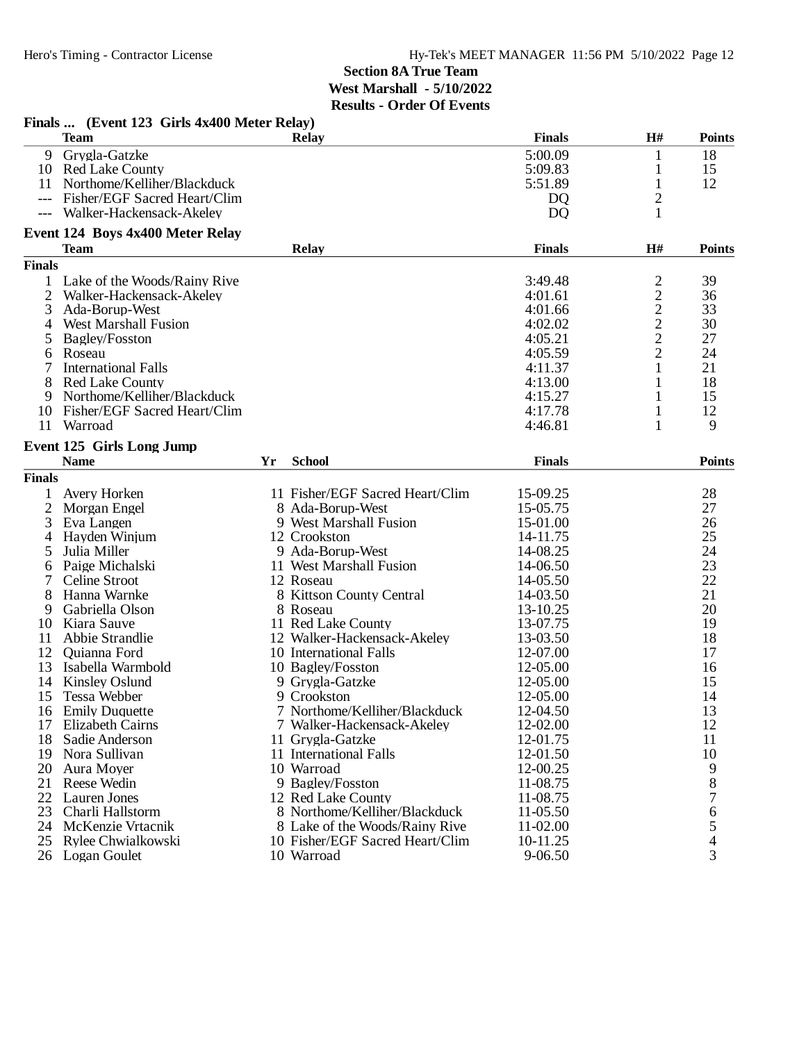|                | Finals  (Event 123 Girls 4x400 Meter Relay)<br><b>Team</b> |    | <b>Relay</b>                    | <b>Finals</b>  | H#             | <b>Points</b> |
|----------------|------------------------------------------------------------|----|---------------------------------|----------------|----------------|---------------|
|                | 9 Grygla-Gatzke                                            |    |                                 | 5:00.09        | $\mathbf{1}$   | 18            |
| 10             | <b>Red Lake County</b>                                     |    |                                 | 5:09.83        | $\mathbf{1}$   | 15            |
| 11             | Northome/Kelliher/Blackduck                                |    |                                 | 5:51.89        | 1              | 12            |
| $---$          | Fisher/EGF Sacred Heart/Clim                               |    |                                 | D <sub>Q</sub> | $\overline{2}$ |               |
|                | Walker-Hackensack-Akeley                                   |    |                                 | <b>DQ</b>      | 1              |               |
|                | Event 124 Boys 4x400 Meter Relay                           |    |                                 |                |                |               |
|                | <b>Team</b>                                                |    | <b>Relay</b>                    | <b>Finals</b>  | H#             | <b>Points</b> |
| <b>Finals</b>  |                                                            |    |                                 |                |                |               |
| 1              | Lake of the Woods/Rainy Rive                               |    |                                 | 3:49.48        | $\overline{c}$ | 39            |
| $\overline{2}$ | Walker-Hackensack-Akeley                                   |    |                                 | 4:01.61        |                | 36            |
| 3              | Ada-Borup-West                                             |    |                                 | 4:01.66        | $\frac{2}{2}$  | 33            |
| 4              | <b>West Marshall Fusion</b>                                |    |                                 | 4:02.02        | $\frac{2}{2}$  | 30            |
| 5              | Bagley/Fosston                                             |    |                                 | 4:05.21        |                | 27            |
| 6              | Roseau                                                     |    |                                 | 4:05.59        | $\overline{2}$ | 24            |
|                | <b>International Falls</b>                                 |    |                                 | 4:11.37        | 1              | 21            |
| 8              | <b>Red Lake County</b>                                     |    |                                 | 4:13.00        | 1              | 18            |
| 9              | Northome/Kelliher/Blackduck                                |    |                                 | 4:15.27        | 1              | 15            |
| 10             | Fisher/EGF Sacred Heart/Clim                               |    |                                 | 4:17.78        | 1              | 12            |
| 11             | Warroad                                                    |    |                                 | 4:46.81        | 1              | 9             |
|                | Event 125 Girls Long Jump                                  |    |                                 |                |                |               |
|                | <b>Name</b>                                                | Yr | <b>School</b>                   | <b>Finals</b>  |                | <b>Points</b> |
| <b>Finals</b>  |                                                            |    |                                 |                |                |               |
| $\mathbf{1}$   | Avery Horken                                               |    | 11 Fisher/EGF Sacred Heart/Clim | 15-09.25       |                | 28            |
| 2              | Morgan Engel                                               |    | 8 Ada-Borup-West                | 15-05.75       |                | 27            |
| 3              | Eva Langen                                                 |    | 9 West Marshall Fusion          | 15-01.00       |                | 26            |
| 4              | Hayden Winjum                                              |    | 12 Crookston                    | 14-11.75       |                | 25            |
| 5              | Julia Miller                                               |    | 9 Ada-Borup-West                | 14-08.25       |                | 24            |
| 6              | Paige Michalski                                            |    | 11 West Marshall Fusion         | 14-06.50       |                | 23            |
|                | Celine Stroot                                              |    | 12 Roseau                       | 14-05.50       |                | 22            |
| 8              | Hanna Warnke                                               |    | 8 Kittson County Central        | 14-03.50       |                | 21            |
| 9              | Gabriella Olson                                            |    | 8 Roseau                        | 13-10.25       |                | 20            |
| 10             | Kiara Sauve                                                |    | 11 Red Lake County              | 13-07.75       |                | 19            |
| 11             | Abbie Strandlie                                            |    | 12 Walker-Hackensack-Akeley     | 13-03.50       |                | 18            |
| 12             | Quianna Ford                                               |    | 10 International Falls          | 12-07.00       |                | 17            |
| 13             | Isabella Warmbold                                          |    | 10 Bagley/Fosston               | 12-05.00       |                | 16            |
| 14             | Kinsley Oslund                                             |    | 9 Grygla-Gatzke                 | 12-05.00       |                | 15            |
|                | 15 Tessa Webber                                            |    | 9 Crookston                     | 12-05.00       |                | 14            |
| 16             | <b>Emily Duquette</b>                                      |    | 7 Northome/Kelliher/Blackduck   | 12-04.50       |                | 13            |
| 17             | <b>Elizabeth Cairns</b>                                    |    | 7 Walker-Hackensack-Akeley      | 12-02.00       |                | 12            |
| 18             | Sadie Anderson                                             |    | 11 Grygla-Gatzke                | 12-01.75       |                | 11            |
| 19             | Nora Sullivan                                              |    | 11 International Falls          | 12-01.50       |                | 10            |
| 20             | Aura Moyer                                                 |    | 10 Warroad                      | 12-00.25       |                | 9             |
| 21             | Reese Wedin                                                |    | 9 Bagley/Fosston                | 11-08.75       |                | 8             |
| 22             | Lauren Jones                                               |    | 12 Red Lake County              | 11-08.75       |                |               |
| 23             | Charli Hallstorm                                           |    | 8 Northome/Kelliher/Blackduck   | 11-05.50       |                | 6             |
| 24             | McKenzie Vrtacnik                                          |    | 8 Lake of the Woods/Rainy Rive  | 11-02.00       |                | 5             |
|                | 25 Rylee Chwialkowski                                      |    | 10 Fisher/EGF Sacred Heart/Clim | 10-11.25       |                | 4             |
|                | 26 Logan Goulet                                            |    | 10 Warroad                      | 9-06.50        |                | 3             |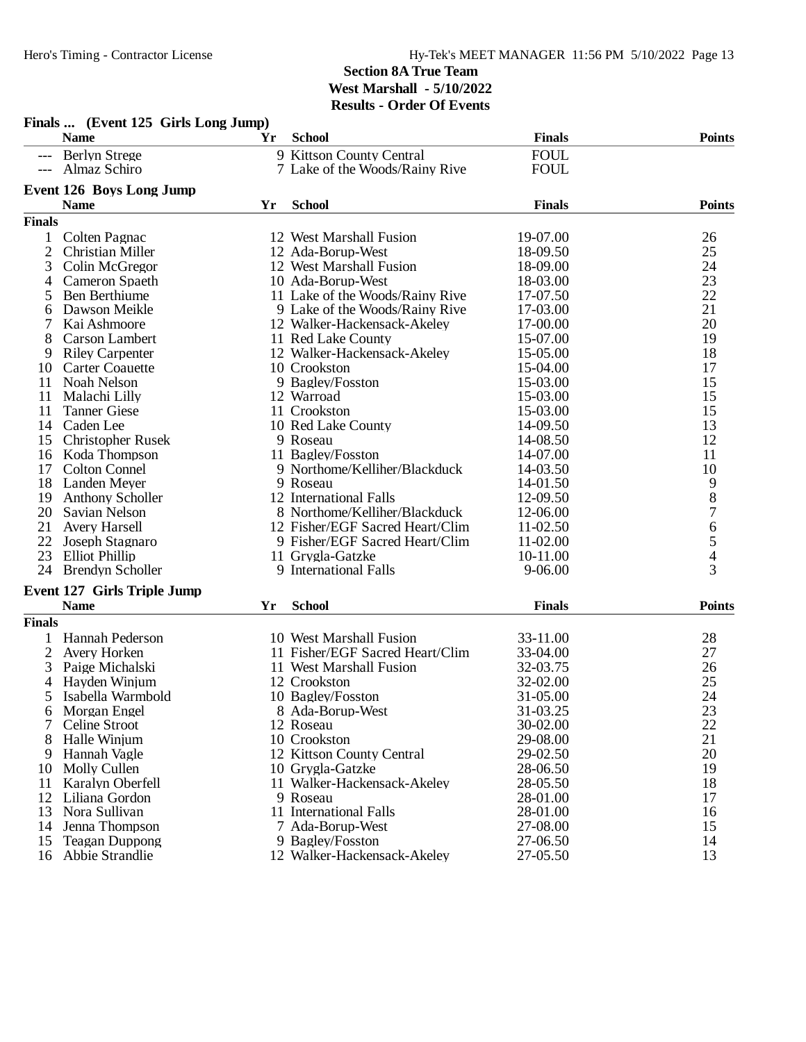| Finals  (Event 125 Girls Long Jump) |                                    |    |                                           |               |                                            |  |
|-------------------------------------|------------------------------------|----|-------------------------------------------|---------------|--------------------------------------------|--|
|                                     | <b>Name</b>                        | Yr | <b>School</b>                             | <b>Finals</b> | <b>Points</b>                              |  |
|                                     | --- Berlyn Strege                  |    | 9 Kittson County Central                  | <b>FOUL</b>   |                                            |  |
|                                     | Almaz Schiro                       |    | 7 Lake of the Woods/Rainy Rive            | <b>FOUL</b>   |                                            |  |
|                                     | <b>Event 126 Boys Long Jump</b>    |    |                                           |               |                                            |  |
|                                     | <b>Name</b>                        | Yr | <b>School</b>                             | <b>Finals</b> | <b>Points</b>                              |  |
| <b>Finals</b>                       |                                    |    |                                           |               |                                            |  |
|                                     | Colten Pagnac                      |    | 12 West Marshall Fusion                   | 19-07.00      | 26                                         |  |
| $\overline{c}$                      | <b>Christian Miller</b>            |    | 12 Ada-Borup-West                         | 18-09.50      | 25                                         |  |
| 3                                   | Colin McGregor                     |    | 12 West Marshall Fusion                   | 18-09.00      | 24                                         |  |
| 4                                   | Cameron Spaeth                     |    | 10 Ada-Borup-West                         | 18-03.00      | 23                                         |  |
| 5                                   | <b>Ben Berthiume</b>               |    | 11 Lake of the Woods/Rainy Rive           | 17-07.50      | 22                                         |  |
| 6                                   | Dawson Meikle                      |    | 9 Lake of the Woods/Rainy Rive            | 17-03.00      | 21                                         |  |
| 7                                   | Kai Ashmoore                       |    | 12 Walker-Hackensack-Akeley               | 17-00.00      | 20                                         |  |
| 8                                   | Carson Lambert                     |    | 11 Red Lake County                        | 15-07.00      | 19                                         |  |
| 9                                   | <b>Riley Carpenter</b>             |    | 12 Walker-Hackensack-Akeley               | 15-05.00      | 18                                         |  |
| 10                                  | <b>Carter Coauette</b>             |    | 10 Crookston                              | 15-04.00      | 17                                         |  |
| 11                                  | Noah Nelson                        |    | 9 Bagley/Fosston                          | 15-03.00      | 15                                         |  |
| 11                                  | Malachi Lilly                      |    | 12 Warroad                                | 15-03.00      | 15                                         |  |
| 11                                  | <b>Tanner Giese</b>                |    | 11 Crookston                              | 15-03.00      | 15                                         |  |
| 14                                  | Caden Lee                          |    | 10 Red Lake County                        | 14-09.50      | 13                                         |  |
| 15                                  | <b>Christopher Rusek</b>           |    |                                           | 14-08.50      | 12                                         |  |
|                                     |                                    |    | 9 Roseau<br>11 Bagley/Fosston             | 14-07.00      | 11                                         |  |
| 16                                  | Koda Thompson                      |    |                                           |               |                                            |  |
| 17                                  | <b>Colton Connel</b>               |    | 9 Northome/Kelliher/Blackduck<br>9 Roseau | 14-03.50      | 10                                         |  |
| 18                                  | Landen Meyer                       |    | 12 International Falls                    | 14-01.50      | $\begin{array}{c} 9 \\ 8 \\ 7 \end{array}$ |  |
| 19                                  | <b>Anthony Scholler</b>            |    |                                           | 12-09.50      |                                            |  |
| 20                                  | Savian Nelson                      |    | 8 Northome/Kelliher/Blackduck             | 12-06.00      |                                            |  |
| 21                                  | <b>Avery Harsell</b>               |    | 12 Fisher/EGF Sacred Heart/Clim           | 11-02.50      | $\sqrt{6}$                                 |  |
| 22                                  | Joseph Stagnaro                    |    | 9 Fisher/EGF Sacred Heart/Clim            | 11-02.00      | 5                                          |  |
| 23                                  | <b>Elliot Phillip</b>              |    | 11 Grygla-Gatzke                          | 10-11.00      | $\overline{4}$                             |  |
|                                     | 24 Brendyn Scholler                |    | 9 International Falls                     | $9 - 06.00$   | 3                                          |  |
|                                     | <b>Event 127 Girls Triple Jump</b> |    |                                           |               |                                            |  |
|                                     | <b>Name</b>                        | Yr | <b>School</b>                             | <b>Finals</b> | <b>Points</b>                              |  |
| <b>Finals</b>                       |                                    |    |                                           |               |                                            |  |
|                                     | Hannah Pederson                    |    | 10 West Marshall Fusion                   | 33-11.00      | 28                                         |  |
| 2                                   | Avery Horken                       |    | 11 Fisher/EGF Sacred Heart/Clim           | 33-04.00      | 27                                         |  |
| 3                                   | Paige Michalski                    |    | 11 West Marshall Fusion                   | 32-03.75      | 26                                         |  |
| 4                                   | Hayden Winjum                      |    | 12 Crookston                              | 32-02.00      | 25                                         |  |
| 5                                   | Isabella Warmbold                  |    | 10 Bagley/Fosston                         | 31-05.00      | 24                                         |  |
| b                                   | Morgan Engel                       |    | 8 Ada-Borup-West                          | 31-03.25      | 23                                         |  |
|                                     | Celine Stroot                      |    | 12 Roseau                                 | 30-02.00      | 22                                         |  |
| 8                                   | Halle Winjum                       |    | 10 Crookston                              | 29-08.00      | 21                                         |  |
| 9                                   | Hannah Vagle                       |    | 12 Kittson County Central                 | 29-02.50      | 20                                         |  |
| 10                                  | Molly Cullen                       |    | 10 Grygla-Gatzke                          | 28-06.50      | 19                                         |  |
| 11                                  | Karalyn Oberfell                   |    | 11 Walker-Hackensack-Akeley               | 28-05.50      | 18                                         |  |
| 12                                  | Liliana Gordon                     |    | 9 Roseau                                  | 28-01.00      | 17                                         |  |
| 13                                  | Nora Sullivan                      |    | 11 International Falls                    | 28-01.00      | 16                                         |  |
| 14                                  | Jenna Thompson                     |    | 7 Ada-Borup-West                          | 27-08.00      | 15                                         |  |
| 15                                  | <b>Teagan Duppong</b>              |    | 9 Bagley/Fosston                          | 27-06.50      | 14                                         |  |
|                                     | 16 Abbie Strandlie                 |    | 12 Walker-Hackensack-Akeley               | 27-05.50      | 13                                         |  |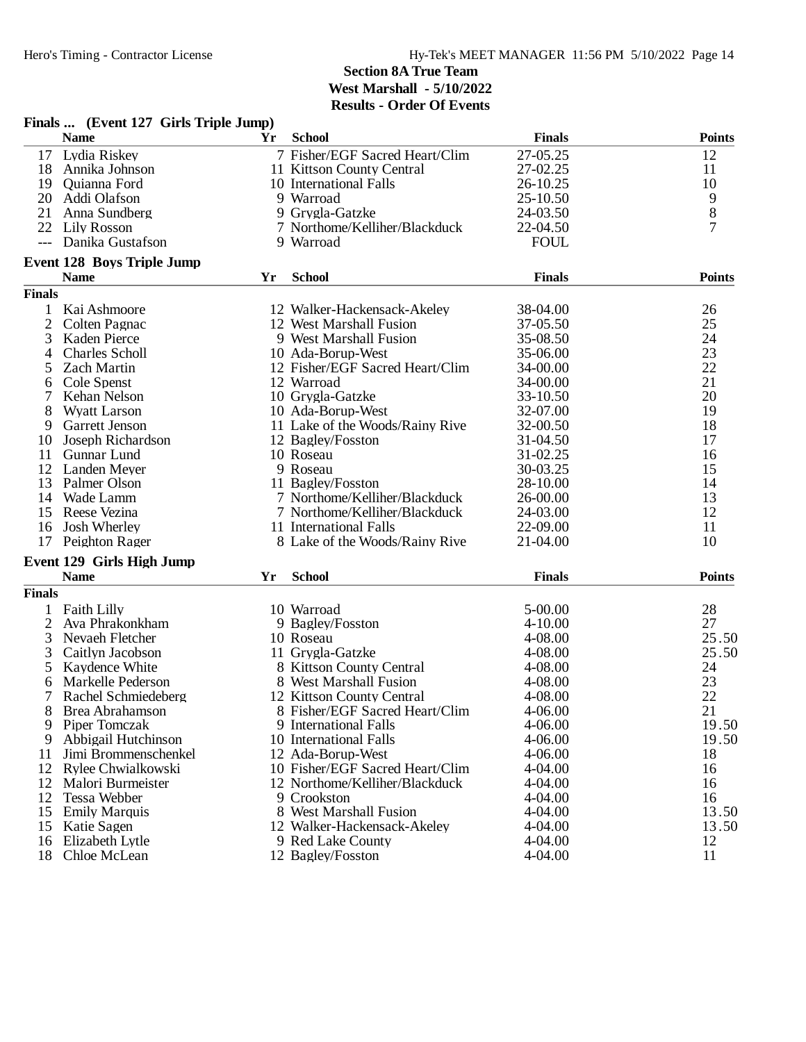|                | Finals  (Event 127 Girls Triple Jump) |    |                                 |               |               |
|----------------|---------------------------------------|----|---------------------------------|---------------|---------------|
|                | <b>Name</b>                           | Yr | <b>School</b>                   | <b>Finals</b> | <b>Points</b> |
| 17             | Lydia Riskey                          |    | 7 Fisher/EGF Sacred Heart/Clim  | 27-05.25      | 12            |
| 18             | Annika Johnson                        |    | 11 Kittson County Central       | 27-02.25      | 11            |
| 19             | Quianna Ford                          |    | 10 International Falls          | 26-10.25      | 10            |
| 20             | Addi Olafson                          |    | 9 Warroad                       | 25-10.50      | 9             |
| 21             | Anna Sundberg                         |    | 9 Grygla-Gatzke                 | 24-03.50      | 8             |
|                | 22 Lily Rosson                        |    | 7 Northome/Kelliher/Blackduck   | 22-04.50      | 7             |
| $---$          | Danika Gustafson                      |    | 9 Warroad                       | <b>FOUL</b>   |               |
|                | <b>Event 128 Boys Triple Jump</b>     |    |                                 |               |               |
|                | <b>Name</b>                           | Yr | <b>School</b>                   | <b>Finals</b> | <b>Points</b> |
| <b>Finals</b>  |                                       |    |                                 |               |               |
| $\mathbf{1}$   | Kai Ashmoore                          |    | 12 Walker-Hackensack-Akeley     | 38-04.00      | 26            |
| $\overline{2}$ | Colten Pagnac                         |    | 12 West Marshall Fusion         | 37-05.50      | 25            |
| 3              | Kaden Pierce                          |    | 9 West Marshall Fusion          | 35-08.50      | 24            |
| 4              | <b>Charles Scholl</b>                 |    | 10 Ada-Borup-West               | 35-06.00      | 23            |
| 5              | <b>Zach Martin</b>                    |    | 12 Fisher/EGF Sacred Heart/Clim | 34-00.00      | 22            |
| 6              | Cole Spenst                           |    | 12 Warroad                      | 34-00.00      | 21            |
| 7              | Kehan Nelson                          |    | 10 Grygla-Gatzke                | 33-10.50      | 20            |
| 8              | <b>Wyatt Larson</b>                   |    | 10 Ada-Borup-West               | 32-07.00      | 19            |
| 9              | Garrett Jenson                        |    | 11 Lake of the Woods/Rainy Rive | 32-00.50      | 18            |
| 10             | Joseph Richardson                     |    | 12 Bagley/Fosston               | 31-04.50      | 17            |
| 11             | Gunnar Lund                           |    | 10 Roseau                       | 31-02.25      | 16            |
| 12             | <b>Landen Meyer</b>                   |    | 9 Roseau                        | 30-03.25      | 15            |
| 13             | Palmer Olson                          |    | 11 Bagley/Fosston               | 28-10.00      | 14            |
| 14             | Wade Lamm                             |    | 7 Northome/Kelliher/Blackduck   | 26-00.00      | 13            |
| 15             | Reese Vezina                          |    | 7 Northome/Kelliher/Blackduck   | 24-03.00      | 12            |
| 16             | Josh Wherley                          |    | 11 International Falls          | 22-09.00      | 11            |
| 17             | Peighton Rager                        |    | 8 Lake of the Woods/Rainy Rive  | 21-04.00      | 10            |
|                | Event 129 Girls High Jump             |    |                                 |               |               |
|                | <b>Name</b>                           | Yr | <b>School</b>                   | <b>Finals</b> | <b>Points</b> |
| <b>Finals</b>  |                                       |    |                                 |               |               |
|                | Faith Lilly                           |    | 10 Warroad                      | 5-00.00       | 28            |
| $\overline{2}$ | Ava Phrakonkham                       |    | 9 Bagley/Fosston                | $4 - 10.00$   | 27            |
| 3              | Nevaeh Fletcher                       |    | 10 Roseau                       | 4-08.00       | 25.50         |
| 3              | Caitlyn Jacobson                      |    | 11 Grygla-Gatzke                | 4-08.00       | 25.50         |
| 5              | Kaydence White                        |    | 8 Kittson County Central        | 4-08.00       | 24            |
| 6              | Markelle Pederson                     |    | 8 West Marshall Fusion          | 4-08.00       | 23            |
| 7              | Rachel Schmiedeberg                   |    | 12 Kittson County Central       | 4-08.00       | 22            |
| 8              | Brea Abrahamson                       |    | 8 Fisher/EGF Sacred Heart/Clim  | 4-06.00       | 21            |
| 9              | Piper Tomczak                         |    | 9 International Falls           | 4-06.00       | 19.50         |
| 9              | Abbigail Hutchinson                   |    | 10 International Falls          | 4-06.00       | 19.50         |
| 11             | Jimi Brommenschenkel                  |    | 12 Ada-Borup-West               | 4-06.00       | 18            |
| 12             | Rylee Chwialkowski                    |    | 10 Fisher/EGF Sacred Heart/Clim | 4-04.00       | 16            |
| 12             | Malori Burmeister                     |    | 12 Northome/Kelliher/Blackduck  | 4-04.00       | 16            |
| 12             | Tessa Webber                          |    | 9 Crookston                     | 4-04.00       | 16            |
| 15             | <b>Emily Marquis</b>                  |    | 8 West Marshall Fusion          | 4-04.00       | 13.50         |
| 15             | Katie Sagen                           |    | 12 Walker-Hackensack-Akeley     | 4-04.00       | 13.50         |
| 16             | Elizabeth Lytle                       |    | 9 Red Lake County               | 4-04.00       | 12            |
|                | 18 Chloe McLean                       |    | 12 Bagley/Fosston               | 4-04.00       | 11            |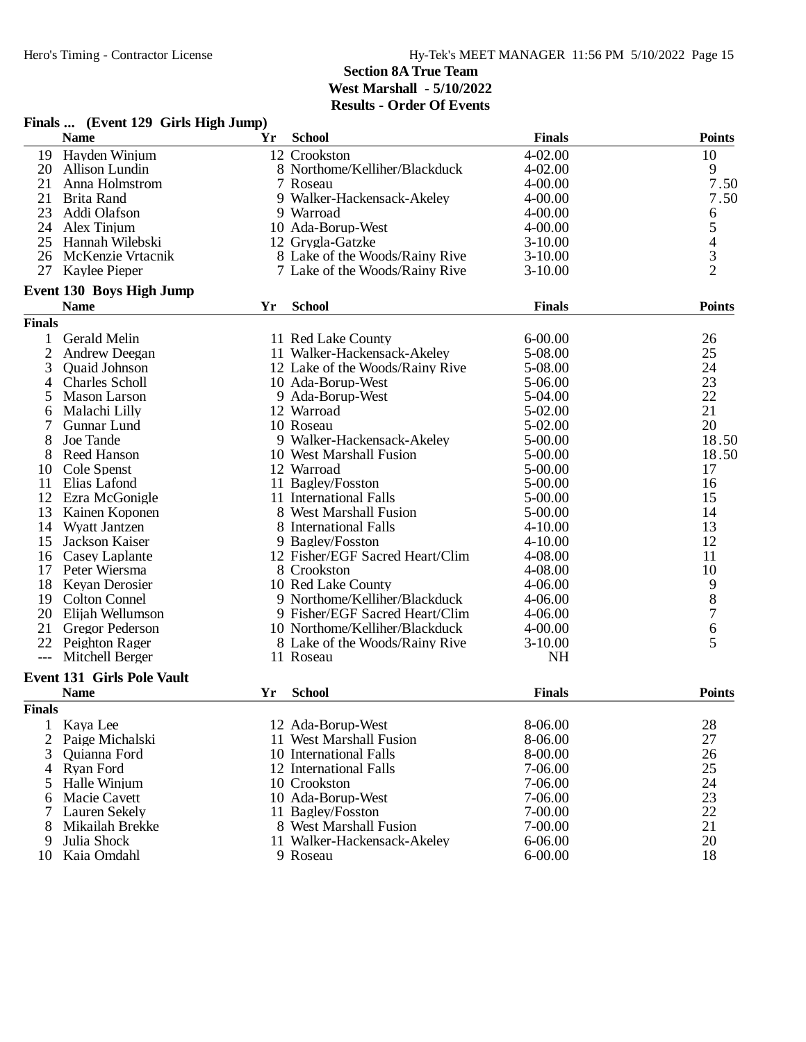|                | Finals  (Event 129 Girls High Jump) |    |                                 |               |                                            |
|----------------|-------------------------------------|----|---------------------------------|---------------|--------------------------------------------|
|                | <b>Name</b>                         | Yr | <b>School</b>                   | <b>Finals</b> | <b>Points</b>                              |
| 19             | Hayden Winjum                       |    | 12 Crookston                    | 4-02.00       | 10                                         |
| 20             | Allison Lundin                      |    | 8 Northome/Kelliher/Blackduck   | 4-02.00       | 9                                          |
| 21             | Anna Holmstrom                      |    | 7 Roseau                        | 4-00.00       | 7.50                                       |
| 21             | <b>Brita Rand</b>                   |    | 9 Walker-Hackensack-Akeley      | 4-00.00       | 7.50                                       |
| 23             | Addi Olafson                        |    | 9 Warroad                       | 4-00.00       | 6                                          |
| 24             | Alex Tinjum                         |    | 10 Ada-Borup-West               | 4-00.00       | 5                                          |
| 25             | Hannah Wilebski                     |    | 12 Grygla-Gatzke                | $3-10.00$     |                                            |
| 26             | McKenzie Vrtacnik                   |    | 8 Lake of the Woods/Rainy Rive  | $3-10.00$     | $\begin{array}{c} 4 \\ 3 \\ 2 \end{array}$ |
| 27             | Kaylee Pieper                       |    | 7 Lake of the Woods/Rainy Rive  | $3-10.00$     |                                            |
|                | <b>Event 130 Boys High Jump</b>     |    |                                 |               |                                            |
|                | <b>Name</b>                         | Yr | <b>School</b>                   | <b>Finals</b> | <b>Points</b>                              |
| <b>Finals</b>  |                                     |    |                                 |               |                                            |
| 1              | Gerald Melin                        |    | 11 Red Lake County              | $6 - 00.00$   | 26                                         |
| $\overline{c}$ | Andrew Deegan                       |    | 11 Walker-Hackensack-Akeley     | 5-08.00       | 25                                         |
| 3              | Quaid Johnson                       |    | 12 Lake of the Woods/Rainy Rive | 5-08.00       | 24                                         |
| 4              | Charles Scholl                      |    | 10 Ada-Borup-West               | 5-06.00       | 23                                         |
| 5              | <b>Mason Larson</b>                 |    | 9 Ada-Borup-West                | 5-04.00       | 22                                         |
| 6              | Malachi Lilly                       |    | 12 Warroad                      | 5-02.00       | 21                                         |
| 7              | Gunnar Lund                         |    | 10 Roseau                       | 5-02.00       | 20                                         |
| 8              | Joe Tande                           |    | 9 Walker-Hackensack-Akeley      | 5-00.00       | 18.50                                      |
| 8              | Reed Hanson                         |    | 10 West Marshall Fusion         | 5-00.00       | 18.50                                      |
| 10             | Cole Spenst                         |    | 12 Warroad                      | 5-00.00       | 17                                         |
| 11             | Elias Lafond                        |    | 11 Bagley/Fosston               | 5-00.00       | 16                                         |
| 12             | Ezra McGonigle                      |    | 11 International Falls          | 5-00.00       | 15                                         |
| 13             | Kainen Koponen                      |    | 8 West Marshall Fusion          | 5-00.00       | 14                                         |
| 14             | Wyatt Jantzen                       |    | 8 International Falls           | $4 - 10.00$   | 13                                         |
| 15             | Jackson Kaiser                      |    | 9 Bagley/Fosston                | $4 - 10.00$   | 12                                         |
| 16             | Casey Laplante                      |    | 12 Fisher/EGF Sacred Heart/Clim | 4-08.00       | 11                                         |
| 17             | Peter Wiersma                       |    | 8 Crookston                     | 4-08.00       | 10                                         |
| 18             | Keyan Derosier                      |    | 10 Red Lake County              | 4-06.00       |                                            |
|                | 19 Colton Connel                    |    | 9 Northome/Kelliher/Blackduck   | $4 - 06.00$   | $\begin{array}{c} 9 \\ 8 \\ 7 \end{array}$ |
| 20             | Elijah Wellumson                    |    | 9 Fisher/EGF Sacred Heart/Clim  | $4 - 06.00$   |                                            |
| 21             | Gregor Pederson                     |    | 10 Northome/Kelliher/Blackduck  | $4 - 00.00$   | 6                                          |
| 22             | Peighton Rager                      |    | 8 Lake of the Woods/Rainy Rive  | $3-10.00$     | 5                                          |
|                | Mitchell Berger                     |    | 11 Roseau                       | <b>NH</b>     |                                            |
|                | <b>Event 131 Girls Pole Vault</b>   |    |                                 |               |                                            |
|                | <b>Name</b>                         | Yr | <b>School</b>                   | <b>Finals</b> | <b>Points</b>                              |
| <b>Finals</b>  |                                     |    |                                 |               |                                            |
| $\mathbf{1}$   | Kaya Lee                            |    | 12 Ada-Borup-West               | 8-06.00       | 28                                         |
| $\overline{2}$ | Paige Michalski                     |    | 11 West Marshall Fusion         | 8-06.00       | 27                                         |
| 3              | Quianna Ford                        |    | 10 International Falls          | 8-00.00       | 26                                         |
| 4              | <b>Ryan Ford</b>                    |    | 12 International Falls          | 7-06.00       | 25                                         |
| 5              | Halle Winjum                        |    | 10 Crookston                    | 7-06.00       | 24                                         |
| 6              | Macie Cavett                        |    | 10 Ada-Borup-West               | 7-06.00       | 23                                         |
| 7              | Lauren Sekely                       |    | 11 Bagley/Fosston               | 7-00.00       | 22                                         |
| 8              | Mikailah Brekke                     |    | 8 West Marshall Fusion          | 7-00.00       | 21                                         |
| 9              | Julia Shock                         |    | 11 Walker-Hackensack-Akeley     | 6-06.00       | 20                                         |
| 10             | Kaia Omdahl                         |    | 9 Roseau                        | $6 - 00.00$   | 18                                         |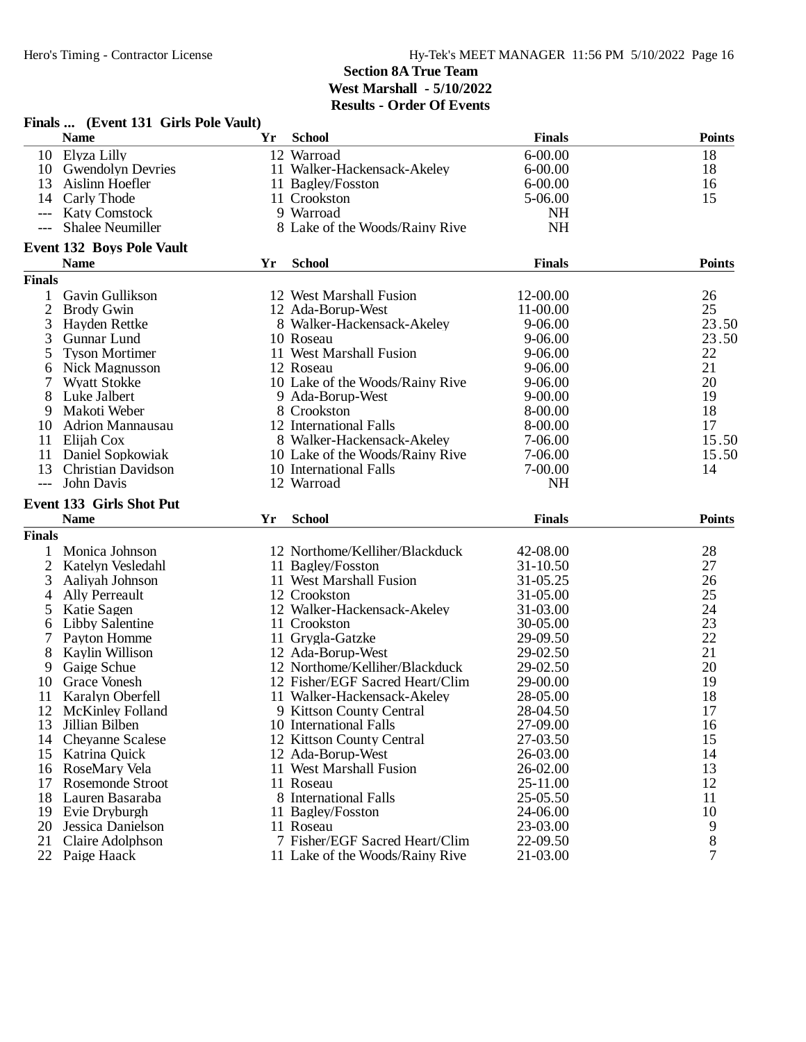|                     | Finals  (Event 131 Girls Pole Vault) |     |                                 |               |                |
|---------------------|--------------------------------------|-----|---------------------------------|---------------|----------------|
|                     | <b>Name</b>                          | Yr  | <b>School</b>                   | <b>Finals</b> | <b>Points</b>  |
|                     | 10 Elyza Lilly                       |     | 12 Warroad                      | $6 - 00.00$   | 18             |
|                     | 10 Gwendolyn Devries                 |     | 11 Walker-Hackensack-Akeley     | $6 - 00.00$   | 18             |
| 13                  | Aislinn Hoefler                      |     | 11 Bagley/Fosston               | $6 - 00.00$   | 16             |
| 14                  | Carly Thode                          |     | 11 Crookston                    | 5-06.00       | 15             |
| $\qquad \qquad - -$ | <b>Katy Comstock</b>                 |     | 9 Warroad                       | <b>NH</b>     |                |
| $---$               | <b>Shalee Neumiller</b>              |     | 8 Lake of the Woods/Rainy Rive  | <b>NH</b>     |                |
|                     | <b>Event 132 Boys Pole Vault</b>     |     |                                 |               |                |
|                     | <b>Name</b>                          | Yr  | <b>School</b>                   | <b>Finals</b> | <b>Points</b>  |
| <b>Finals</b>       |                                      |     |                                 |               |                |
| 1                   | Gavin Gullikson                      |     | 12 West Marshall Fusion         | 12-00.00      | 26             |
| $\overline{2}$      | <b>Brody Gwin</b>                    |     | 12 Ada-Borup-West               | 11-00.00      | 25             |
| 3                   | Hayden Rettke                        |     | 8 Walker-Hackensack-Akeley      | 9-06.00       | 23.50          |
| 3                   | Gunnar Lund                          |     | 10 Roseau                       | $9 - 06.00$   | 23.50          |
| 5                   | <b>Tyson Mortimer</b>                |     | 11 West Marshall Fusion         | $9 - 06.00$   | 22             |
|                     | Nick Magnusson                       |     | 12 Roseau                       | $9 - 06.00$   | 21             |
| 6                   |                                      |     | 10 Lake of the Woods/Rainy Rive |               | 20             |
| 7                   | <b>Wyatt Stokke</b>                  |     |                                 | 9-06.00       | 19             |
| 8                   | Luke Jalbert                         |     | 9 Ada-Borup-West                | $9 - 00.00$   |                |
| 9                   | Makoti Weber                         |     | 8 Crookston                     | 8-00.00       | 18             |
| 10                  | <b>Adrion Mannausau</b>              |     | 12 International Falls          | 8-00.00       | 17             |
| 11                  | Elijah Cox                           |     | 8 Walker-Hackensack-Akeley      | 7-06.00       | 15.50          |
| 11                  | Daniel Sopkowiak                     |     | 10 Lake of the Woods/Rainy Rive | 7-06.00       | 15.50          |
| 13                  | <b>Christian Davidson</b>            |     | 10 International Falls          | 7-00.00       | 14             |
| $---$               | John Davis                           |     | 12 Warroad                      | <b>NH</b>     |                |
|                     | Event 133 Girls Shot Put             |     |                                 |               |                |
|                     | <b>Name</b>                          | Yr. | <b>School</b>                   | <b>Finals</b> | Points         |
| <b>Finals</b>       |                                      |     |                                 |               |                |
| 1                   | Monica Johnson                       |     | 12 Northome/Kelliher/Blackduck  | 42-08.00      | 28             |
| $\overline{c}$      | Katelyn Vesledahl                    |     | 11 Bagley/Fosston               | 31-10.50      | 27             |
| 3                   | Aaliyah Johnson                      |     | 11 West Marshall Fusion         | 31-05.25      | 26             |
| 4                   | <b>Ally Perreault</b>                |     | 12 Crookston                    | 31-05.00      | 25             |
| 5                   | Katie Sagen                          |     | 12 Walker-Hackensack-Akeley     | 31-03.00      | 24             |
| 6                   | Libby Salentine                      |     | 11 Crookston                    | 30-05.00      | 23             |
|                     | Payton Homme                         |     | 11 Grygla-Gatzke                | 29-09.50      | 22             |
| 8                   | Kaylin Willison                      |     | 12 Ada-Borup-West               | 29-02.50      | 21             |
| 9                   | Gaige Schue                          |     | 12 Northome/Kelliher/Blackduck  | 29-02.50      | 20             |
| 10                  | Grace Vonesh                         |     | 12 Fisher/EGF Sacred Heart/Clim | 29-00.00      | 19             |
| 11                  | Karalyn Oberfell                     |     | 11 Walker-Hackensack-Akeley     | 28-05.00      | 18             |
| 12                  | <b>McKinley Folland</b>              |     | 9 Kittson County Central        | 28-04.50      | 17             |
| 13                  | Jillian Bilben                       |     | 10 International Falls          | 27-09.00      | 16             |
|                     |                                      |     |                                 | 27-03.50      | 15             |
| 14                  | Cheyanne Scalese                     |     | 12 Kittson County Central       |               |                |
| 15                  | Katrina Quick                        |     | 12 Ada-Borup-West               | 26-03.00      | 14             |
| 16                  | RoseMary Vela                        |     | 11 West Marshall Fusion         | 26-02.00      | 13             |
| 17                  | Rosemonde Stroot                     |     | 11 Roseau                       | 25-11.00      | 12             |
| 18                  | Lauren Basaraba                      |     | 8 International Falls           | 25-05.50      | 11             |
| 19                  | Evie Dryburgh                        |     | 11 Bagley/Fosston               | 24-06.00      | 10             |
| 20                  | Jessica Danielson                    |     | 11 Roseau                       | 23-03.00      | 9              |
| 21                  | Claire Adolphson                     |     | 7 Fisher/EGF Sacred Heart/Clim  | 22-09.50      | 8              |
|                     | 22 Paige Haack                       |     | 11 Lake of the Woods/Rainy Rive | 21-03.00      | $\overline{7}$ |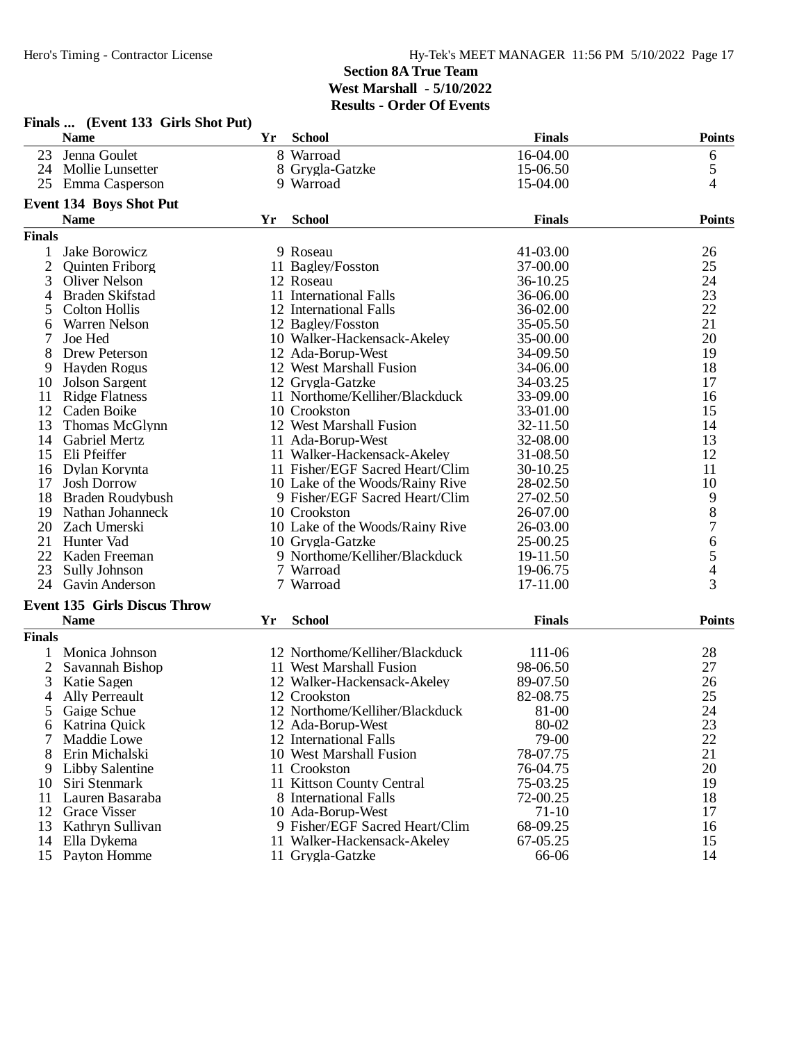|                | Finals  (Event 133 Girls Shot Put)  |    |                                 |               |                          |
|----------------|-------------------------------------|----|---------------------------------|---------------|--------------------------|
|                | <b>Name</b>                         | Yr | <b>School</b>                   | <b>Finals</b> | <b>Points</b>            |
| 23             | Jenna Goulet                        |    | 8 Warroad                       | 16-04.00      | 6                        |
| 24             | Mollie Lunsetter                    |    | 8 Grygla-Gatzke                 | 15-06.50      | 5                        |
| 25             | Emma Casperson                      |    | 9 Warroad                       | 15-04.00      | $\overline{4}$           |
|                | <b>Event 134 Boys Shot Put</b>      |    |                                 |               |                          |
|                | <b>Name</b>                         | Yr | <b>School</b>                   | <b>Finals</b> | <b>Points</b>            |
| <b>Finals</b>  |                                     |    |                                 |               |                          |
| 1              | Jake Borowicz                       |    | 9 Roseau                        | 41-03.00      | 26                       |
| $\overline{2}$ | <b>Quinten Friborg</b>              |    | 11 Bagley/Fosston               | 37-00.00      | 25                       |
| 3              | <b>Oliver Nelson</b>                |    | 12 Roseau                       | 36-10.25      | 24                       |
| 4              | Braden Skifstad                     |    | 11 International Falls          | 36-06.00      | 23                       |
| 5              | <b>Colton Hollis</b>                |    | 12 International Falls          | 36-02.00      | 22                       |
| 6              | Warren Nelson                       |    | 12 Bagley/Fosston               | 35-05.50      | 21                       |
| 7              | Joe Hed                             |    | 10 Walker-Hackensack-Akeley     | 35-00.00      | 20                       |
| 8              | Drew Peterson                       |    | 12 Ada-Borup-West               | 34-09.50      | 19                       |
| 9              | Hayden Rogus                        |    | 12 West Marshall Fusion         | 34-06.00      | 18                       |
| 10             | <b>Jolson Sargent</b>               |    | 12 Grygla-Gatzke                | 34-03.25      | 17                       |
| 11             | <b>Ridge Flatness</b>               |    | 11 Northome/Kelliher/Blackduck  | 33-09.00      | 16                       |
| 12             | Caden Boike                         |    | 10 Crookston                    | 33-01.00      | 15                       |
| 13             |                                     |    |                                 |               | 14                       |
|                | Thomas McGlynn                      |    | 12 West Marshall Fusion         | 32-11.50      |                          |
| 14             | <b>Gabriel Mertz</b>                |    | 11 Ada-Borup-West               | 32-08.00      | 13                       |
| 15             | Eli Pfeiffer                        |    | 11 Walker-Hackensack-Akeley     | 31-08.50      | 12                       |
| 16             | Dylan Korynta                       |    | 11 Fisher/EGF Sacred Heart/Clim | 30-10.25      | 11                       |
| 17             | <b>Josh Dorrow</b>                  |    | 10 Lake of the Woods/Rainy Rive | 28-02.50      | 10                       |
| 18             | <b>Braden Roudybush</b>             |    | 9 Fisher/EGF Sacred Heart/Clim  | 27-02.50      | 9                        |
| 19             | Nathan Johanneck                    |    | 10 Crookston                    | 26-07.00      | $\,8$                    |
| 20             | Zach Umerski                        |    | 10 Lake of the Woods/Rainy Rive | 26-03.00      | $\overline{7}$           |
| 21             | Hunter Vad                          |    | 10 Grygla-Gatzke                | 25-00.25      | $\boldsymbol{6}$         |
| 22             | Kaden Freeman                       |    | 9 Northome/Kelliher/Blackduck   | 19-11.50      | 5                        |
| 23             | <b>Sully Johnson</b>                |    | 7 Warroad                       | 19-06.75      | $\overline{\mathcal{A}}$ |
| 24             | <b>Gavin Anderson</b>               |    | 7 Warroad                       | 17-11.00      | 3                        |
|                | <b>Event 135 Girls Discus Throw</b> |    |                                 |               |                          |
|                | <b>Name</b>                         | Yr | <b>School</b>                   | <b>Finals</b> | <b>Points</b>            |
| <b>Finals</b>  |                                     |    |                                 |               |                          |
| $\mathbf{1}$   | Monica Johnson                      |    | 12 Northome/Kelliher/Blackduck  | 111-06        | 28                       |
| $\overline{2}$ | Savannah Bishop                     |    | 11 West Marshall Fusion         | 98-06.50      | 27                       |
| 3              | Katie Sagen                         |    | 12 Walker-Hackensack-Akeley     | 89-07.50      | 26                       |
| 4              | <b>Ally Perreault</b>               |    | 12 Crookston                    | 82-08.75      | 25                       |
| 5              | Gaige Schue                         |    | 12 Northome/Kelliher/Blackduck  | 81-00         | 24                       |
|                |                                     |    |                                 |               |                          |
| 6              | Katrina Quick                       |    | 12 Ada-Borup-West               | 80-02         | 23                       |
| 7              | Maddie Lowe                         |    | 12 International Falls          | 79-00         | 22                       |
| 8              | Erin Michalski                      |    | 10 West Marshall Fusion         | 78-07.75      | 21                       |
| 9              | Libby Salentine                     |    | 11 Crookston                    | 76-04.75      | 20                       |
| 10             | Siri Stenmark                       |    | 11 Kittson County Central       | 75-03.25      | 19                       |
| 11             | Lauren Basaraba                     |    | 8 International Falls           | 72-00.25      | 18                       |
| 12             | <b>Grace Visser</b>                 |    | 10 Ada-Borup-West               | $71-10$       | 17                       |
| 13             | Kathryn Sullivan                    |    | 9 Fisher/EGF Sacred Heart/Clim  | 68-09.25      | 16                       |
| 14             | Ella Dykema                         |    | 11 Walker-Hackensack-Akeley     | 67-05.25      | 15                       |
|                | 15 Payton Homme                     |    | 11 Grygla-Gatzke                | 66-06         | 14                       |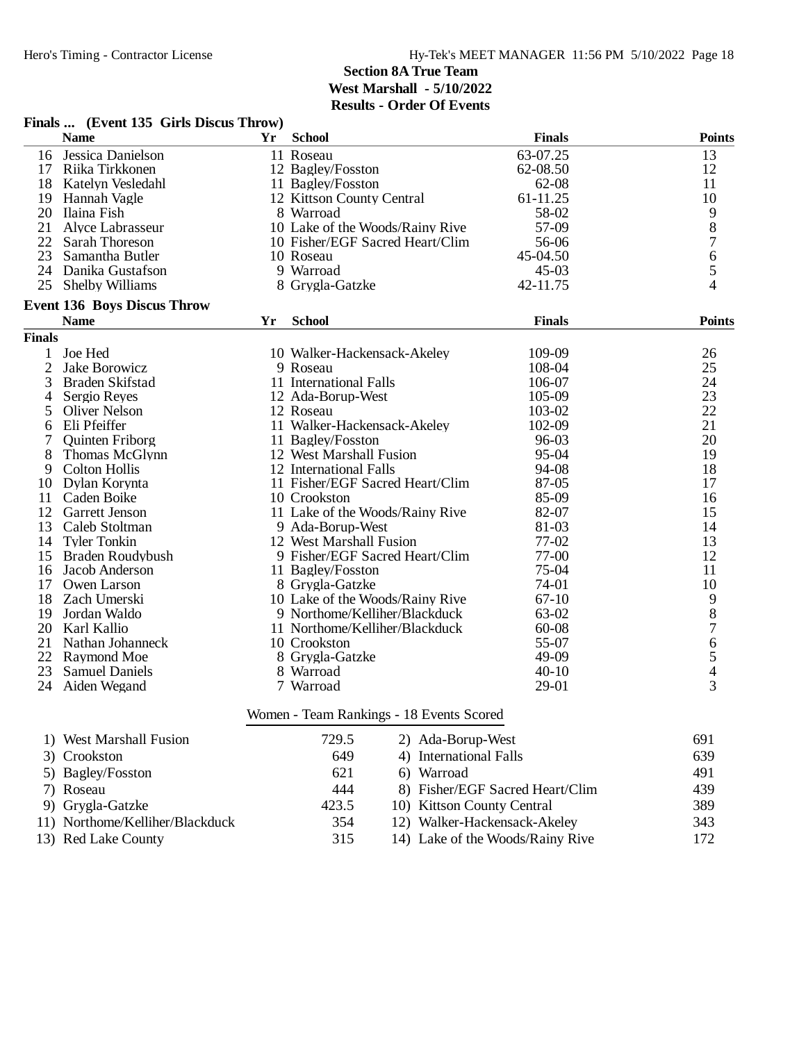| <b>Name</b><br><b>School</b><br><b>Finals</b><br>Yr<br>Jessica Danielson<br>63-07.25<br>16<br>11 Roseau<br>13<br>17 Riika Tirkkonen<br>12 Bagley/Fosston<br>12<br>62-08.50<br>18 Katelyn Vesledahl<br>11 Bagley/Fosston<br>62-08<br>11<br>10<br>19 Hannah Vagle<br>61-11.25<br>12 Kittson County Central<br>9<br>20 Ilaina Fish<br>8 Warroad<br>58-02<br>$\,8\,$<br>21<br>57-09<br>Alyce Labrasseur<br>10 Lake of the Woods/Rainy Rive<br>$\overline{7}$<br>22<br><b>Sarah Thoreson</b><br>10 Fisher/EGF Sacred Heart/Clim<br>56-06<br>6<br>23 Samantha Butler<br>45-04.50<br>10 Roseau<br>5<br>24 Danika Gustafson<br>9 Warroad<br>$45 - 03$<br>4<br>25<br><b>Shelby Williams</b><br>42-11.75<br>8 Grygla-Gatzke<br><b>Event 136 Boys Discus Throw</b><br><b>School</b><br><b>Finals</b><br><b>Name</b><br>Yr<br><b>Finals</b><br>Joe Hed<br>109-09<br>26<br>10 Walker-Hackensack-Akeley<br>$\mathbf{1}$<br>$\overline{2}$<br>25<br>Jake Borowicz<br>9 Roseau<br>108-04<br>11 International Falls<br>24<br>3<br><b>Braden Skifstad</b><br>106-07<br>23<br>12 Ada-Borup-West<br>Sergio Reyes<br>105-09<br>4<br>22<br>5<br><b>Oliver Nelson</b><br>12 Roseau<br>103-02<br>Eli Pfeiffer<br>21<br>6<br>11 Walker-Hackensack-Akeley<br>102-09<br>20<br>11 Bagley/Fosston<br>96-03<br>7<br><b>Quinten Friborg</b><br>19<br>8<br>Thomas McGlynn<br>12 West Marshall Fusion<br>95-04<br>94-08<br>9<br><b>Colton Hollis</b><br>12 International Falls<br>18<br>11 Fisher/EGF Sacred Heart/Clim<br>Dylan Korynta<br>87-05<br>17<br>10<br>10 Crookston<br>85-09<br>11<br>Caden Boike<br>16<br>12<br>11 Lake of the Woods/Rainy Rive<br>82-07<br>15<br>Garrett Jenson<br>13<br>Caleb Stoltman<br>9 Ada-Borup-West<br>81-03<br>14<br>77-02<br>13<br>14<br><b>Tyler Tonkin</b><br>12 West Marshall Fusion<br>9 Fisher/EGF Sacred Heart/Clim<br>77-00<br>12<br>15 Braden Roudybush<br>75-04<br>11<br>Jacob Anderson<br>11 Bagley/Fosston<br>16<br>10<br>17 Owen Larson<br>74-01<br>8 Grygla-Gatzke<br>10 Lake of the Woods/Rainy Rive<br>9<br>18 Zach Umerski<br>$67-10$<br>$8\,$<br>9 Northome/Kelliher/Blackduck<br>19 Jordan Waldo<br>63-02<br>$\overline{7}$<br>20 Karl Kallio<br>11 Northome/Kelliher/Blackduck<br>60-08<br>6<br>21<br>Nathan Johanneck<br>55-07<br>10 Crookston<br>5<br>22<br>49-09<br>Raymond Moe<br>8 Grygla-Gatzke<br>23<br>$40 - 10$<br>$\overline{\mathcal{L}}$<br><b>Samuel Daniels</b><br>8 Warroad<br>$\overline{3}$<br>29-01<br>24<br>Aiden Wegand<br>7 Warroad<br>Women - Team Rankings - 18 Events Scored<br>729.5<br>1) West Marshall Fusion<br>691<br>2) Ada-Borup-West<br>649<br>4) International Falls<br>639<br>3) Crookston<br>621<br>491<br>5) Bagley/Fosston<br>6) Warroad | Finals  (Event 135 Girls Discus Throw) |  |               |
|-------------------------------------------------------------------------------------------------------------------------------------------------------------------------------------------------------------------------------------------------------------------------------------------------------------------------------------------------------------------------------------------------------------------------------------------------------------------------------------------------------------------------------------------------------------------------------------------------------------------------------------------------------------------------------------------------------------------------------------------------------------------------------------------------------------------------------------------------------------------------------------------------------------------------------------------------------------------------------------------------------------------------------------------------------------------------------------------------------------------------------------------------------------------------------------------------------------------------------------------------------------------------------------------------------------------------------------------------------------------------------------------------------------------------------------------------------------------------------------------------------------------------------------------------------------------------------------------------------------------------------------------------------------------------------------------------------------------------------------------------------------------------------------------------------------------------------------------------------------------------------------------------------------------------------------------------------------------------------------------------------------------------------------------------------------------------------------------------------------------------------------------------------------------------------------------------------------------------------------------------------------------------------------------------------------------------------------------------------------------------------------------------------------------------------------------------------------------------------------------------------------------------------------------------------------------------------------------------------------------------------------------------------------------------------------------------------|----------------------------------------|--|---------------|
|                                                                                                                                                                                                                                                                                                                                                                                                                                                                                                                                                                                                                                                                                                                                                                                                                                                                                                                                                                                                                                                                                                                                                                                                                                                                                                                                                                                                                                                                                                                                                                                                                                                                                                                                                                                                                                                                                                                                                                                                                                                                                                                                                                                                                                                                                                                                                                                                                                                                                                                                                                                                                                                                                                       |                                        |  | <b>Points</b> |
|                                                                                                                                                                                                                                                                                                                                                                                                                                                                                                                                                                                                                                                                                                                                                                                                                                                                                                                                                                                                                                                                                                                                                                                                                                                                                                                                                                                                                                                                                                                                                                                                                                                                                                                                                                                                                                                                                                                                                                                                                                                                                                                                                                                                                                                                                                                                                                                                                                                                                                                                                                                                                                                                                                       |                                        |  |               |
|                                                                                                                                                                                                                                                                                                                                                                                                                                                                                                                                                                                                                                                                                                                                                                                                                                                                                                                                                                                                                                                                                                                                                                                                                                                                                                                                                                                                                                                                                                                                                                                                                                                                                                                                                                                                                                                                                                                                                                                                                                                                                                                                                                                                                                                                                                                                                                                                                                                                                                                                                                                                                                                                                                       |                                        |  |               |
|                                                                                                                                                                                                                                                                                                                                                                                                                                                                                                                                                                                                                                                                                                                                                                                                                                                                                                                                                                                                                                                                                                                                                                                                                                                                                                                                                                                                                                                                                                                                                                                                                                                                                                                                                                                                                                                                                                                                                                                                                                                                                                                                                                                                                                                                                                                                                                                                                                                                                                                                                                                                                                                                                                       |                                        |  |               |
|                                                                                                                                                                                                                                                                                                                                                                                                                                                                                                                                                                                                                                                                                                                                                                                                                                                                                                                                                                                                                                                                                                                                                                                                                                                                                                                                                                                                                                                                                                                                                                                                                                                                                                                                                                                                                                                                                                                                                                                                                                                                                                                                                                                                                                                                                                                                                                                                                                                                                                                                                                                                                                                                                                       |                                        |  |               |
|                                                                                                                                                                                                                                                                                                                                                                                                                                                                                                                                                                                                                                                                                                                                                                                                                                                                                                                                                                                                                                                                                                                                                                                                                                                                                                                                                                                                                                                                                                                                                                                                                                                                                                                                                                                                                                                                                                                                                                                                                                                                                                                                                                                                                                                                                                                                                                                                                                                                                                                                                                                                                                                                                                       |                                        |  |               |
|                                                                                                                                                                                                                                                                                                                                                                                                                                                                                                                                                                                                                                                                                                                                                                                                                                                                                                                                                                                                                                                                                                                                                                                                                                                                                                                                                                                                                                                                                                                                                                                                                                                                                                                                                                                                                                                                                                                                                                                                                                                                                                                                                                                                                                                                                                                                                                                                                                                                                                                                                                                                                                                                                                       |                                        |  |               |
|                                                                                                                                                                                                                                                                                                                                                                                                                                                                                                                                                                                                                                                                                                                                                                                                                                                                                                                                                                                                                                                                                                                                                                                                                                                                                                                                                                                                                                                                                                                                                                                                                                                                                                                                                                                                                                                                                                                                                                                                                                                                                                                                                                                                                                                                                                                                                                                                                                                                                                                                                                                                                                                                                                       |                                        |  |               |
|                                                                                                                                                                                                                                                                                                                                                                                                                                                                                                                                                                                                                                                                                                                                                                                                                                                                                                                                                                                                                                                                                                                                                                                                                                                                                                                                                                                                                                                                                                                                                                                                                                                                                                                                                                                                                                                                                                                                                                                                                                                                                                                                                                                                                                                                                                                                                                                                                                                                                                                                                                                                                                                                                                       |                                        |  |               |
|                                                                                                                                                                                                                                                                                                                                                                                                                                                                                                                                                                                                                                                                                                                                                                                                                                                                                                                                                                                                                                                                                                                                                                                                                                                                                                                                                                                                                                                                                                                                                                                                                                                                                                                                                                                                                                                                                                                                                                                                                                                                                                                                                                                                                                                                                                                                                                                                                                                                                                                                                                                                                                                                                                       |                                        |  |               |
|                                                                                                                                                                                                                                                                                                                                                                                                                                                                                                                                                                                                                                                                                                                                                                                                                                                                                                                                                                                                                                                                                                                                                                                                                                                                                                                                                                                                                                                                                                                                                                                                                                                                                                                                                                                                                                                                                                                                                                                                                                                                                                                                                                                                                                                                                                                                                                                                                                                                                                                                                                                                                                                                                                       |                                        |  |               |
|                                                                                                                                                                                                                                                                                                                                                                                                                                                                                                                                                                                                                                                                                                                                                                                                                                                                                                                                                                                                                                                                                                                                                                                                                                                                                                                                                                                                                                                                                                                                                                                                                                                                                                                                                                                                                                                                                                                                                                                                                                                                                                                                                                                                                                                                                                                                                                                                                                                                                                                                                                                                                                                                                                       |                                        |  |               |
|                                                                                                                                                                                                                                                                                                                                                                                                                                                                                                                                                                                                                                                                                                                                                                                                                                                                                                                                                                                                                                                                                                                                                                                                                                                                                                                                                                                                                                                                                                                                                                                                                                                                                                                                                                                                                                                                                                                                                                                                                                                                                                                                                                                                                                                                                                                                                                                                                                                                                                                                                                                                                                                                                                       |                                        |  | <b>Points</b> |
|                                                                                                                                                                                                                                                                                                                                                                                                                                                                                                                                                                                                                                                                                                                                                                                                                                                                                                                                                                                                                                                                                                                                                                                                                                                                                                                                                                                                                                                                                                                                                                                                                                                                                                                                                                                                                                                                                                                                                                                                                                                                                                                                                                                                                                                                                                                                                                                                                                                                                                                                                                                                                                                                                                       |                                        |  |               |
|                                                                                                                                                                                                                                                                                                                                                                                                                                                                                                                                                                                                                                                                                                                                                                                                                                                                                                                                                                                                                                                                                                                                                                                                                                                                                                                                                                                                                                                                                                                                                                                                                                                                                                                                                                                                                                                                                                                                                                                                                                                                                                                                                                                                                                                                                                                                                                                                                                                                                                                                                                                                                                                                                                       |                                        |  |               |
|                                                                                                                                                                                                                                                                                                                                                                                                                                                                                                                                                                                                                                                                                                                                                                                                                                                                                                                                                                                                                                                                                                                                                                                                                                                                                                                                                                                                                                                                                                                                                                                                                                                                                                                                                                                                                                                                                                                                                                                                                                                                                                                                                                                                                                                                                                                                                                                                                                                                                                                                                                                                                                                                                                       |                                        |  |               |
|                                                                                                                                                                                                                                                                                                                                                                                                                                                                                                                                                                                                                                                                                                                                                                                                                                                                                                                                                                                                                                                                                                                                                                                                                                                                                                                                                                                                                                                                                                                                                                                                                                                                                                                                                                                                                                                                                                                                                                                                                                                                                                                                                                                                                                                                                                                                                                                                                                                                                                                                                                                                                                                                                                       |                                        |  |               |
|                                                                                                                                                                                                                                                                                                                                                                                                                                                                                                                                                                                                                                                                                                                                                                                                                                                                                                                                                                                                                                                                                                                                                                                                                                                                                                                                                                                                                                                                                                                                                                                                                                                                                                                                                                                                                                                                                                                                                                                                                                                                                                                                                                                                                                                                                                                                                                                                                                                                                                                                                                                                                                                                                                       |                                        |  |               |
|                                                                                                                                                                                                                                                                                                                                                                                                                                                                                                                                                                                                                                                                                                                                                                                                                                                                                                                                                                                                                                                                                                                                                                                                                                                                                                                                                                                                                                                                                                                                                                                                                                                                                                                                                                                                                                                                                                                                                                                                                                                                                                                                                                                                                                                                                                                                                                                                                                                                                                                                                                                                                                                                                                       |                                        |  |               |
|                                                                                                                                                                                                                                                                                                                                                                                                                                                                                                                                                                                                                                                                                                                                                                                                                                                                                                                                                                                                                                                                                                                                                                                                                                                                                                                                                                                                                                                                                                                                                                                                                                                                                                                                                                                                                                                                                                                                                                                                                                                                                                                                                                                                                                                                                                                                                                                                                                                                                                                                                                                                                                                                                                       |                                        |  |               |
|                                                                                                                                                                                                                                                                                                                                                                                                                                                                                                                                                                                                                                                                                                                                                                                                                                                                                                                                                                                                                                                                                                                                                                                                                                                                                                                                                                                                                                                                                                                                                                                                                                                                                                                                                                                                                                                                                                                                                                                                                                                                                                                                                                                                                                                                                                                                                                                                                                                                                                                                                                                                                                                                                                       |                                        |  |               |
|                                                                                                                                                                                                                                                                                                                                                                                                                                                                                                                                                                                                                                                                                                                                                                                                                                                                                                                                                                                                                                                                                                                                                                                                                                                                                                                                                                                                                                                                                                                                                                                                                                                                                                                                                                                                                                                                                                                                                                                                                                                                                                                                                                                                                                                                                                                                                                                                                                                                                                                                                                                                                                                                                                       |                                        |  |               |
|                                                                                                                                                                                                                                                                                                                                                                                                                                                                                                                                                                                                                                                                                                                                                                                                                                                                                                                                                                                                                                                                                                                                                                                                                                                                                                                                                                                                                                                                                                                                                                                                                                                                                                                                                                                                                                                                                                                                                                                                                                                                                                                                                                                                                                                                                                                                                                                                                                                                                                                                                                                                                                                                                                       |                                        |  |               |
|                                                                                                                                                                                                                                                                                                                                                                                                                                                                                                                                                                                                                                                                                                                                                                                                                                                                                                                                                                                                                                                                                                                                                                                                                                                                                                                                                                                                                                                                                                                                                                                                                                                                                                                                                                                                                                                                                                                                                                                                                                                                                                                                                                                                                                                                                                                                                                                                                                                                                                                                                                                                                                                                                                       |                                        |  |               |
|                                                                                                                                                                                                                                                                                                                                                                                                                                                                                                                                                                                                                                                                                                                                                                                                                                                                                                                                                                                                                                                                                                                                                                                                                                                                                                                                                                                                                                                                                                                                                                                                                                                                                                                                                                                                                                                                                                                                                                                                                                                                                                                                                                                                                                                                                                                                                                                                                                                                                                                                                                                                                                                                                                       |                                        |  |               |
|                                                                                                                                                                                                                                                                                                                                                                                                                                                                                                                                                                                                                                                                                                                                                                                                                                                                                                                                                                                                                                                                                                                                                                                                                                                                                                                                                                                                                                                                                                                                                                                                                                                                                                                                                                                                                                                                                                                                                                                                                                                                                                                                                                                                                                                                                                                                                                                                                                                                                                                                                                                                                                                                                                       |                                        |  |               |
|                                                                                                                                                                                                                                                                                                                                                                                                                                                                                                                                                                                                                                                                                                                                                                                                                                                                                                                                                                                                                                                                                                                                                                                                                                                                                                                                                                                                                                                                                                                                                                                                                                                                                                                                                                                                                                                                                                                                                                                                                                                                                                                                                                                                                                                                                                                                                                                                                                                                                                                                                                                                                                                                                                       |                                        |  |               |
|                                                                                                                                                                                                                                                                                                                                                                                                                                                                                                                                                                                                                                                                                                                                                                                                                                                                                                                                                                                                                                                                                                                                                                                                                                                                                                                                                                                                                                                                                                                                                                                                                                                                                                                                                                                                                                                                                                                                                                                                                                                                                                                                                                                                                                                                                                                                                                                                                                                                                                                                                                                                                                                                                                       |                                        |  |               |
|                                                                                                                                                                                                                                                                                                                                                                                                                                                                                                                                                                                                                                                                                                                                                                                                                                                                                                                                                                                                                                                                                                                                                                                                                                                                                                                                                                                                                                                                                                                                                                                                                                                                                                                                                                                                                                                                                                                                                                                                                                                                                                                                                                                                                                                                                                                                                                                                                                                                                                                                                                                                                                                                                                       |                                        |  |               |
|                                                                                                                                                                                                                                                                                                                                                                                                                                                                                                                                                                                                                                                                                                                                                                                                                                                                                                                                                                                                                                                                                                                                                                                                                                                                                                                                                                                                                                                                                                                                                                                                                                                                                                                                                                                                                                                                                                                                                                                                                                                                                                                                                                                                                                                                                                                                                                                                                                                                                                                                                                                                                                                                                                       |                                        |  |               |
|                                                                                                                                                                                                                                                                                                                                                                                                                                                                                                                                                                                                                                                                                                                                                                                                                                                                                                                                                                                                                                                                                                                                                                                                                                                                                                                                                                                                                                                                                                                                                                                                                                                                                                                                                                                                                                                                                                                                                                                                                                                                                                                                                                                                                                                                                                                                                                                                                                                                                                                                                                                                                                                                                                       |                                        |  |               |
|                                                                                                                                                                                                                                                                                                                                                                                                                                                                                                                                                                                                                                                                                                                                                                                                                                                                                                                                                                                                                                                                                                                                                                                                                                                                                                                                                                                                                                                                                                                                                                                                                                                                                                                                                                                                                                                                                                                                                                                                                                                                                                                                                                                                                                                                                                                                                                                                                                                                                                                                                                                                                                                                                                       |                                        |  |               |
|                                                                                                                                                                                                                                                                                                                                                                                                                                                                                                                                                                                                                                                                                                                                                                                                                                                                                                                                                                                                                                                                                                                                                                                                                                                                                                                                                                                                                                                                                                                                                                                                                                                                                                                                                                                                                                                                                                                                                                                                                                                                                                                                                                                                                                                                                                                                                                                                                                                                                                                                                                                                                                                                                                       |                                        |  |               |
|                                                                                                                                                                                                                                                                                                                                                                                                                                                                                                                                                                                                                                                                                                                                                                                                                                                                                                                                                                                                                                                                                                                                                                                                                                                                                                                                                                                                                                                                                                                                                                                                                                                                                                                                                                                                                                                                                                                                                                                                                                                                                                                                                                                                                                                                                                                                                                                                                                                                                                                                                                                                                                                                                                       |                                        |  |               |
|                                                                                                                                                                                                                                                                                                                                                                                                                                                                                                                                                                                                                                                                                                                                                                                                                                                                                                                                                                                                                                                                                                                                                                                                                                                                                                                                                                                                                                                                                                                                                                                                                                                                                                                                                                                                                                                                                                                                                                                                                                                                                                                                                                                                                                                                                                                                                                                                                                                                                                                                                                                                                                                                                                       |                                        |  |               |
|                                                                                                                                                                                                                                                                                                                                                                                                                                                                                                                                                                                                                                                                                                                                                                                                                                                                                                                                                                                                                                                                                                                                                                                                                                                                                                                                                                                                                                                                                                                                                                                                                                                                                                                                                                                                                                                                                                                                                                                                                                                                                                                                                                                                                                                                                                                                                                                                                                                                                                                                                                                                                                                                                                       |                                        |  |               |
|                                                                                                                                                                                                                                                                                                                                                                                                                                                                                                                                                                                                                                                                                                                                                                                                                                                                                                                                                                                                                                                                                                                                                                                                                                                                                                                                                                                                                                                                                                                                                                                                                                                                                                                                                                                                                                                                                                                                                                                                                                                                                                                                                                                                                                                                                                                                                                                                                                                                                                                                                                                                                                                                                                       |                                        |  |               |
|                                                                                                                                                                                                                                                                                                                                                                                                                                                                                                                                                                                                                                                                                                                                                                                                                                                                                                                                                                                                                                                                                                                                                                                                                                                                                                                                                                                                                                                                                                                                                                                                                                                                                                                                                                                                                                                                                                                                                                                                                                                                                                                                                                                                                                                                                                                                                                                                                                                                                                                                                                                                                                                                                                       |                                        |  |               |
|                                                                                                                                                                                                                                                                                                                                                                                                                                                                                                                                                                                                                                                                                                                                                                                                                                                                                                                                                                                                                                                                                                                                                                                                                                                                                                                                                                                                                                                                                                                                                                                                                                                                                                                                                                                                                                                                                                                                                                                                                                                                                                                                                                                                                                                                                                                                                                                                                                                                                                                                                                                                                                                                                                       |                                        |  |               |
|                                                                                                                                                                                                                                                                                                                                                                                                                                                                                                                                                                                                                                                                                                                                                                                                                                                                                                                                                                                                                                                                                                                                                                                                                                                                                                                                                                                                                                                                                                                                                                                                                                                                                                                                                                                                                                                                                                                                                                                                                                                                                                                                                                                                                                                                                                                                                                                                                                                                                                                                                                                                                                                                                                       |                                        |  |               |
|                                                                                                                                                                                                                                                                                                                                                                                                                                                                                                                                                                                                                                                                                                                                                                                                                                                                                                                                                                                                                                                                                                                                                                                                                                                                                                                                                                                                                                                                                                                                                                                                                                                                                                                                                                                                                                                                                                                                                                                                                                                                                                                                                                                                                                                                                                                                                                                                                                                                                                                                                                                                                                                                                                       |                                        |  |               |
|                                                                                                                                                                                                                                                                                                                                                                                                                                                                                                                                                                                                                                                                                                                                                                                                                                                                                                                                                                                                                                                                                                                                                                                                                                                                                                                                                                                                                                                                                                                                                                                                                                                                                                                                                                                                                                                                                                                                                                                                                                                                                                                                                                                                                                                                                                                                                                                                                                                                                                                                                                                                                                                                                                       |                                        |  |               |

7) Roseau 444 8) Fisher/EGF Sacred Heart/Clim 439<br>
9) Grygla-Gatzke 423.5 10) Kittson County Central 389 10) Kittson County Central<br>12) Walker-Hackensack-Akeley 11) Northome/Kelliher/Blackduck 354 12) Walker-Hackensack-Akeley 343 13) Red Lake County 315 14) Lake of the Woods/Rainy Rive 172